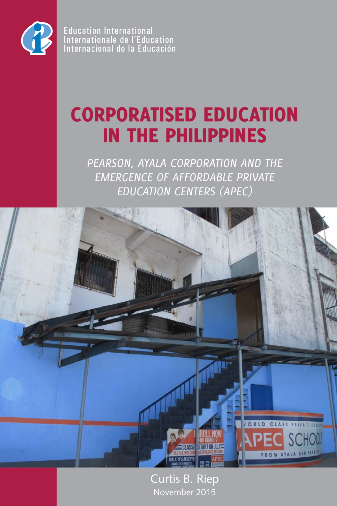

Education International Internationale de l'Education Internacional de la Educación

# CORPORATISED EDUCATION IN THE PHILIPPINES

*PEARSON, AYALA CORPORATION AND THE EMERGENCE OF AFFORDABLE PRIVATE EDUCATION CENTERS (APEC)*



November 2015 Curtis B. Riep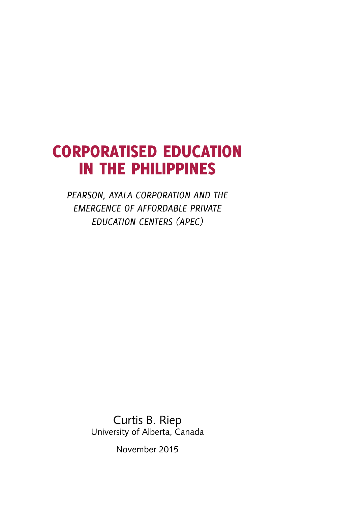# CORPORATISED EDUCATION IN THE PHILIPPINES

*PEARSON, AYALA CORPORATION AND THE EMERGENCE OF AFFORDABLE PRIVATE EDUCATION CENTERS (APEC)*

> Curtis B. Riep University of Alberta, Canada

> > November 2015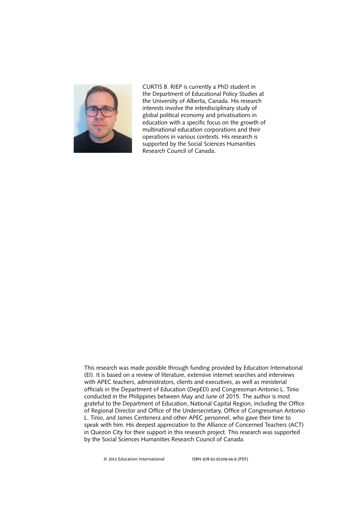

CURTIS B. RIEP is currently a PhD student in the Department of Educational Policy Studies at the University of Alberta, Canada. His research interests involve the interdisciplinary study of global political economy and privatisations in education with a specific focus on the growth of multinational education corporations and their operations in various contexts. His research is supported by the Social Sciences Humanities Research Council of Canada.

This research was made possible through funding provided by Education International (EI). It is based on a review of literature, extensive internet searches and interviews with APEC teachers, administrators, clients and executives, as well as ministerial officials in the Department of Education (DepED) and Congressman Antonio L. Tinio conducted in the Philippines between May and June of 2015. The author is most grateful to the Department of Education, National Capital Region, including the Office of Regional Director and Office of the Undersecretary, Office of Congressman Antonio L. Tinio, and James Centenera and other APEC personnel, who gave their time to speak with him. His deepest appreciation to the Alliance of Concerned Teachers (ACT) in Quezon City for their support in this research project. This research was supported by the Social Sciences Humanities Research Council of Canada.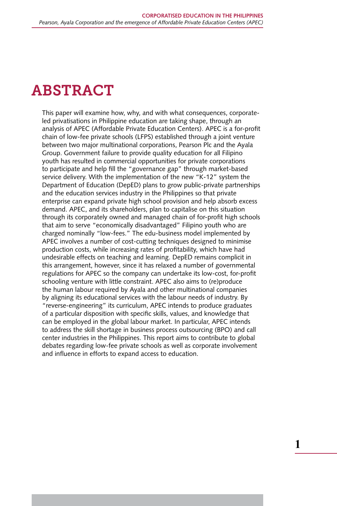### ABSTRACT

This paper will examine how, why, and with what consequences, corporateled privatisations in Philippine education are taking shape, through an analysis of APEC (Affordable Private Education Centers). APEC is a for-profit chain of low-fee private schools (LFPS) established through a joint venture between two major multinational corporations, Pearson Plc and the Ayala Group. Government failure to provide quality education for all Filipino youth has resulted in commercial opportunities for private corporations to participate and help fill the "governance gap" through market-based service delivery. With the implementation of the new "K-12" system the Department of Education (DepED) plans to grow public-private partnerships and the education services industry in the Philippines so that private enterprise can expand private high school provision and help absorb excess demand. APEC, and its shareholders, plan to capitalise on this situation through its corporately owned and managed chain of for-profit high schools that aim to serve "economically disadvantaged" Filipino youth who are charged nominally "low-fees." The edu-business model implemented by APEC involves a number of cost-cutting techniques designed to minimise production costs, while increasing rates of profitability, which have had undesirable effects on teaching and learning. DepED remains complicit in this arrangement, however, since it has relaxed a number of governmental regulations for APEC so the company can undertake its low-cost, for-profit schooling venture with little constraint. APEC also aims to (re)produce the human labour required by Ayala and other multinational companies by aligning its educational services with the labour needs of industry. By "reverse-engineering" its curriculum, APEC intends to produce graduates of a particular disposition with specific skills, values, and knowledge that can be employed in the global labour market. In particular, APEC intends to address the skill shortage in business process outsourcing (BPO) and call center industries in the Philippines. This report aims to contribute to global debates regarding low-fee private schools as well as corporate involvement and influence in efforts to expand access to education.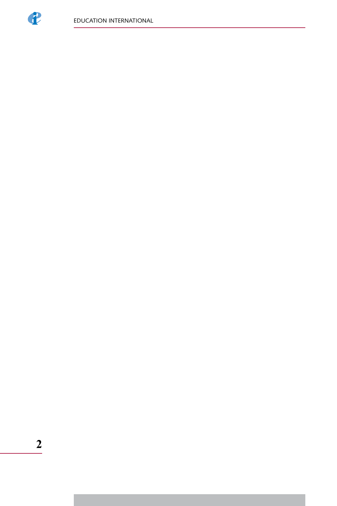

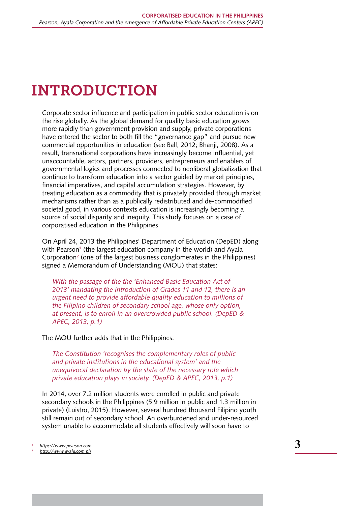### INTRODUCTION

Corporate sector influence and participation in public sector education is on the rise globally. As the global demand for quality basic education grows more rapidly than government provision and supply, private corporations have entered the sector to both fill the "governance gap" and pursue new commercial opportunities in education (see Ball, 2012; Bhanji, 2008). As a result, transnational corporations have increasingly become influential, yet unaccountable, actors, partners, providers, entrepreneurs and enablers of governmental logics and processes connected to neoliberal globalization that continue to transform education into a sector guided by market principles, financial imperatives, and capital accumulation strategies. However, by treating education as a commodity that is privately provided through market mechanisms rather than as a publically redistributed and de-commodified societal good, in various contexts education is increasingly becoming a source of social disparity and inequity. This study focuses on a case of corporatised education in the Philippines.

On April 24, 2013 the Philippines' Department of Education (DepED) along with Pearson<sup>1</sup> (the largest education company in the world) and Ayala Corporation<sup>2</sup> (one of the largest business conglomerates in the Philippines) signed a Memorandum of Understanding (MOU) that states:

*With the passage of the the 'Enhanced Basic Education Act of 2013' mandating the introduction of Grades 11 and 12, there is an urgent need to provide affordable quality education to millions of the Filipino children of secondary school age, whose only option, at present, is to enroll in an overcrowded public school. (DepED & APEC, 2013, p.1)* 

The MOU further adds that in the Philippines:

*The Constitution 'recognises the complementary roles of public and private institutions in the educational system' and the unequivocal declaration by the state of the necessary role which private education plays in society. (DepED & APEC, 2013, p.1)* 

In 2014, over 7.2 million students were enrolled in public and private secondary schools in the Philippines (5.9 million in public and 1.3 million in private) (Luistro, 2015). However, several hundred thousand Filipino youth still remain out of secondary school. An overburdened and under-resourced system unable to accommodate all students effectively will soon have to

<sup>1</sup> *<https://www.pearson.com>*

<http://www.ayala.com.ph>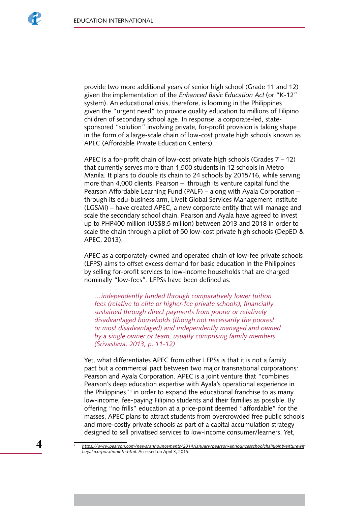provide two more additional years of senior high school (Grade 11 and 12) given the implementation of the Enhanced Basic Education Act (or "K-12" system). An educational crisis, therefore, is looming in the Philippines given the "urgent need" to provide quality education to millions of Filipino children of secondary school age. In response, a corporate-led, statesponsored "solution" involving private, for-profit provision is taking shape in the form of a large-scale chain of low-cost private high schools known as APEC (Affordable Private Education Centers).

APEC is a for-profit chain of low-cost private high schools (Grades 7 – 12) that currently serves more than 1,500 students in 12 schools in Metro Manila. It plans to double its chain to 24 schools by 2015/16, while serving more than 4,000 clients. Pearson – through its venture capital fund the Pearson Affordable Learning Fund (PALF) – along with Ayala Corporation – through its edu-business arm, LiveIt Global Services Management Institute (LGSMI) – have created APEC, a new corporate entity that will manage and scale the secondary school chain. Pearson and Ayala have agreed to invest up to PHP400 million (US\$8.5 million) between 2013 and 2018 in order to scale the chain through a pilot of 50 low-cost private high schools (DepED & APEC, 2013).

APEC as a corporately-owned and operated chain of low-fee private schools (LFPS) aims to offset excess demand for basic education in the Philippines by selling for-profit services to low-income households that are charged nominally "low-fees". LFPSs have been defined as:

*…independently funded through comparatively lower tuition fees (relative to elite or higher-fee private schools), financially sustained through direct payments from poorer or relatively disadvantaged households (though not necessarily the poorest or most disadvantaged) and independently managed and owned by a single owner or team, usually comprising family members. (Srivastava, 2013, p. 11-12)* 

Yet, what differentiates APEC from other LFPSs is that it is not a family pact but a commercial pact between two major transnational corporations: Pearson and Ayala Corporation. APEC is a joint venture that "combines Pearson's deep education expertise with Ayala's operational experience in the Philippines"<sup>3</sup> in order to expand the educational franchise to as many low-income, fee-paying Filipino students and their families as possible. By offering "no frills" education at a price-point deemed "affordable" for the masses, APEC plans to attract students from overcrowded free public schools and more-costly private schools as part of a capital accumulation strategy designed to sell privatised services to low-income consumer/learners. Yet,

<sup>3</sup> [https://www.pearson.com/news/announcements/2014/january/pearson-announcesschoolchainjointventurewit](https://www.pearson.com/news/announcements/2014/january/pearson-announcesschoolchainjointventurewithayalacorporationinth.html) [hayalacorporationinth.html](https://www.pearson.com/news/announcements/2014/january/pearson-announcesschoolchainjointventurewithayalacorporationinth.html). Accessed on April 3, 2015.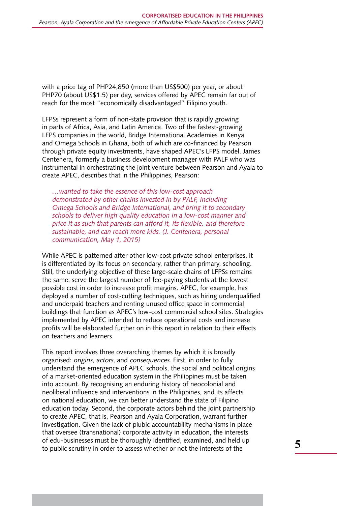with a price tag of PHP24,850 (more than US\$500) per year, or about PHP70 (about US\$1.5) per day, services offered by APEC remain far out of reach for the most "economically disadvantaged" Filipino youth.

LFPSs represent a form of non-state provision that is rapidly growing in parts of Africa, Asia, and Latin America. Two of the fastest-growing LFPS companies in the world, Bridge International Academies in Kenya and Omega Schools in Ghana, both of which are co-financed by Pearson through private equity investments, have shaped APEC's LFPS model. James Centenera, formerly a business development manager with PALF who was instrumental in orchestrating the joint venture between Pearson and Ayala to create APEC, describes that in the Philippines, Pearson:

*…wanted to take the essence of this low-cost approach demonstrated by other chains invested in by PALF, including Omega Schools and Bridge International, and bring it to secondary schools to deliver high quality education in a low-cost manner and price it as such that parents can afford it, its flexible, and therefore sustainable, and can reach more kids. (J. Centenera, personal communication, May 1, 2015)*

While APEC is patterned after other low-cost private school enterprises, it is differentiated by its focus on secondary, rather than primary, schooling. Still, the underlying objective of these large-scale chains of LFPSs remains the same: serve the largest number of fee-paying students at the lowest possible cost in order to increase profit margins. APEC, for example, has deployed a number of cost-cutting techniques, such as hiring underqualified and underpaid teachers and renting unused office space in commercial buildings that function as APEC's low-cost commercial school sites. Strategies implemented by APEC intended to reduce operational costs and increase profits will be elaborated further on in this report in relation to their effects on teachers and learners.

This report involves three overarching themes by which it is broadly organised: origins, actors, and consequences. First, in order to fully understand the emergence of APEC schools, the social and political origins of a market-oriented education system in the Philippines must be taken into account. By recognising an enduring history of neocolonial and neoliberal influence and interventions in the Philippines, and its affects on national education, we can better understand the state of Filipino education today. Second, the corporate actors behind the joint partnership to create APEC, that is, Pearson and Ayala Corporation, warrant further investigation. Given the lack of plubic accountability mechanisms in place that oversee (transnational) corporate activity in education, the interests of edu-businesses must be thoroughly identified, examined, and held up to public scrutiny in order to assess whether or not the interests of the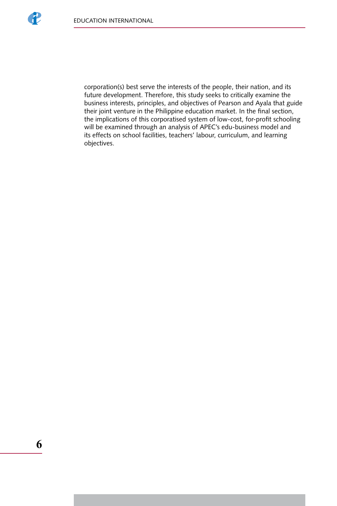

corporation(s) best serve the interests of the people, their nation, and its future development. Therefore, this study seeks to critically examine the business interests, principles, and objectives of Pearson and Ayala that guide their joint venture in the Philippine education market. In the final section, the implications of this corporatised system of low-cost, for-profit schooling will be examined through an analysis of APEC's edu-business model and its effects on school facilities, teachers' labour, curriculum, and learning objectives.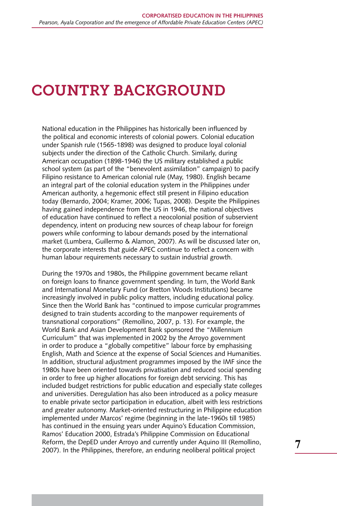### COUNTRY BACKGROUND

National education in the Philippines has historically been influenced by the political and economic interests of colonial powers. Colonial education under Spanish rule (1565-1898) was designed to produce loyal colonial subjects under the direction of the Catholic Church. Similarly, during American occupation (1898-1946) the US military established a public school system (as part of the "benevolent assimilation" campaign) to pacify Filipino resistance to American colonial rule (May, 1980). English became an integral part of the colonial education system in the Philippines under American authority, a hegemonic effect still present in Filipino education today (Bernardo, 2004; Kramer, 2006; Tupas, 2008). Despite the Philippines having gained independence from the US in 1946, the national objectives of education have continued to reflect a neocolonial position of subservient dependency, intent on producing new sources of cheap labour for foreign powers while conforming to labour demands posed by the international market (Lumbera, Guillermo & Alamon, 2007). As will be discussed later on, the corporate interests that guide APEC continue to reflect a concern with human labour requirements necessary to sustain industrial growth.

During the 1970s and 1980s, the Philippine government became reliant on foreign loans to finance government spending. In turn, the World Bank and International Monetary Fund (or Bretton Woods Institutions) became increasingly involved in public policy matters, including educational policy. Since then the World Bank has "continued to impose curricular programmes designed to train students according to the manpower requirements of transnational corporations" (Remollino, 2007, p. 13). For example, the World Bank and Asian Development Bank sponsored the "Millennium Curriculum" that was implemented in 2002 by the Arroyo government in order to produce a "globally competitive" labour force by emphasising English, Math and Science at the expense of Social Sciences and Humanities. In addition, structural adjustment programmes imposed by the IMF since the 1980s have been oriented towards privatisation and reduced social spending in order to free up higher allocations for foreign debt servicing. This has included budget restrictions for public education and especially state colleges and universities. Deregulation has also been introduced as a policy measure to enable private sector participation in education, albeit with less restrictions and greater autonomy. Market-oriented restructuring in Philippine education implemented under Marcos' regime (beginning in the late-1960s till 1985) has continued in the ensuing years under Aquino's Education Commission, Ramos' Education 2000, Estrada's Philippine Commission on Educational Reform, the DepED under Arroyo and currently under Aquino III (Remollino, 2007). In the Philippines, therefore, an enduring neoliberal political project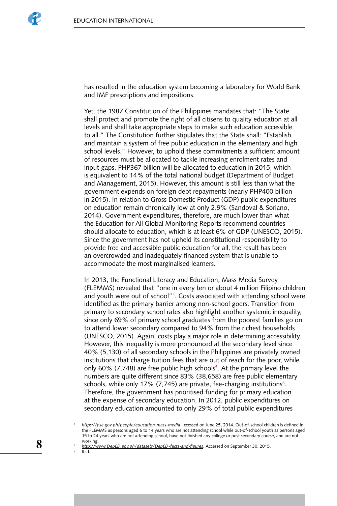

Yet, the 1987 Constitution of the Philippines mandates that: "The State shall protect and promote the right of all citisens to quality education at all levels and shall take appropriate steps to make such education accessible to all." The Constitution further stipulates that the State shall: "Establish and maintain a system of free public education in the elementary and high school levels." However, to uphold these commitments a sufficient amount of resources must be allocated to tackle increasing enrolment rates and input gaps. PHP367 billion will be allocated to education in 2015, which is equivalent to 14% of the total national budget (Department of Budget and Management, 2015). However, this amount is still less than what the government expends on foreign debt repayments (nearly PHP400 billion in 2015). In relation to Gross Domestic Product (GDP) public expenditures on education remain chronically low at only 2.9% (Sandoval & Soriano, 2014). Government expenditures, therefore, are much lower than what the Education for All Global Monitoring Reports recommend countries should allocate to education, which is at least 6% of GDP (UNESCO, 2015). Since the government has not upheld its constitutional responsibility to provide free and accessible public education for all, the result has been an overcrowded and inadequately financed system that is unable to accommodate the most marginalised learners.

In 2013, the Functional Literacy and Education, Mass Media Survey (FLEMMS) revealed that "one in every ten or about 4 million Filipino children and youth were out of school"4 . Costs associated with attending school were identified as the primary barrier among non-school goers. Transition from primary to secondary school rates also highlight another systemic inequality, since only 69% of primary school graduates from the poorest families go on to attend lower secondary compared to 94% from the richest households (UNESCO, 2015). Again, costs play a major role in determining accessibility. However, this inequality is more pronounced at the secondary level since 40% (5,130) of all secondary schools in the Philippines are privately owned institutions that charge tuition fees that are out of reach for the poor, while only 60% (7,748) are free public high schools<sup>5</sup>. At the primary level the numbers are quite different since 83% (38,658) are free public elementary schools, while only 17% (7,745) are private, fee-charging institutions $6$ . Therefore, the government has prioritised funding for primary education at the expense of secondary education. In 2012, public expenditures on secondary education amounted to only 29% of total public expenditures

<sup>6</sup> Ibid.

<sup>4</sup> *<https://psa.gov.ph/people/education-mass-media>*. ccessed on June 25, 2014. Out-of-school children is defined in the FLEMMS as persons aged 6 to 14 years who are not attending school while out-of-school youth as persons aged 15 to 24 years who are not attending school, have not finished any college or post secondary course, and are not working.

<sup>5</sup> *<http://www.DepED.gov.ph/datasets/DepED-facts-and-figures>*. Accessed on September 30, 2015.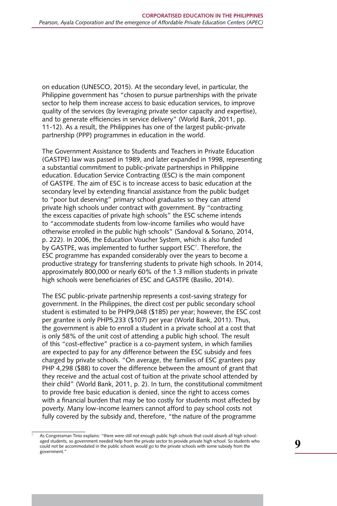on education (UNESCO, 2015). At the secondary level, in particular, the Philippine government has "chosen to pursue partnerships with the private sector to help them increase access to basic education services, to improve quality of the services (by leveraging private sector capacity and expertise), and to generate efficiencies in service delivery" (World Bank, 2011, pp. 11-12). As a result, the Philippines has one of the largest public-private partnership (PPP) programmes in education in the world.

The Government Assistance to Students and Teachers in Private Education (GASTPE) law was passed in 1989, and later expanded in 1998, representing a substantial commitment to public-private partnerships in Philippine education. Education Service Contracting (ESC) is the main component of GASTPE. The aim of ESC is to increase access to basic education at the secondary level by extending financial assistance from the public budget to "poor but deserving" primary school graduates so they can attend private high schools under contract with government. By "contracting the excess capacities of private high schools" the ESC scheme intends to "accommodate students from low-income families who would have otherwise enrolled in the public high schools" (Sandoval & Soriano, 2014, p. 222). In 2006, the Education Voucher System, which is also funded by GASTPE, was implemented to further support ESC<sup>7</sup>. Therefore, the ESC programme has expanded considerably over the years to become a productive strategy for transferring students to private high schools. In 2014, approximately 800,000 or nearly 60% of the 1.3 million students in private high schools were beneficiaries of ESC and GASTPE (Basilio, 2014).

The ESC public-private partnership represents a cost-saving strategy for government. In the Philippines, the direct cost per public secondary school student is estimated to be PHP9,048 (\$185) per year; however, the ESC cost per grantee is only PHP5,233 (\$107) per year (World Bank, 2011). Thus, the government is able to enroll a student in a private school at a cost that is only 58% of the unit cost of attending a public high school. The result of this "cost-effective" practice is a co-payment system, in which families are expected to pay for any difference between the ESC subsidy and fees charged by private schools. "On average, the families of ESC grantees pay PHP 4,298 (\$88) to cover the difference between the amount of grant that they receive and the actual cost of tuition at the private school attended by their child" (World Bank, 2011, p. 2). In turn, the constitutional commitment to provide free basic education is denied, since the right to access comes with a financial burden that may be too costly for students most affected by poverty. Many low-income learners cannot afford to pay school costs not fully covered by the subsidy and, therefore, "the nature of the programme

<sup>7</sup> As Congressman Tinio explains: "there were still not enough public high schools that could absorb all high schoolaged students, so government needed help from the private sector to provide private high school. So students who could not be accommodated in the public schools would go to the private schools with some subsidy from the government.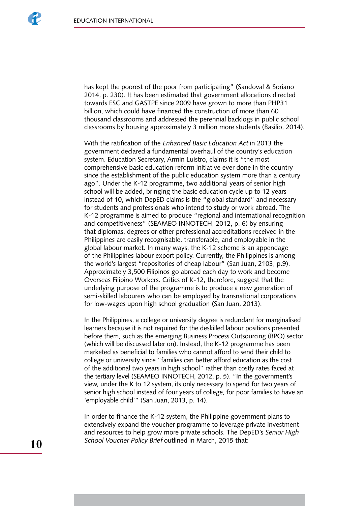7

has kept the poorest of the poor from participating" (Sandoval & Soriano 2014, p. 230). It has been estimated that government allocations directed towards ESC and GASTPE since 2009 have grown to more than PHP31 billion, which could have financed the construction of more than 60 thousand classrooms and addressed the perennial backlogs in public school classrooms by housing approximately 3 million more students (Basilio, 2014).

With the ratification of the Enhanced Basic Education Act in 2013 the government declared a fundamental overhaul of the country's education system. Education Secretary, Armin Luistro, claims it is "the most comprehensive basic education reform initiative ever done in the country since the establishment of the public education system more than a century ago". Under the K-12 programme, two additional years of senior high school will be added, bringing the basic education cycle up to 12 years instead of 10, which DepED claims is the "global standard" and necessary for students and professionals who intend to study or work abroad. The K-12 programme is aimed to produce "regional and international recognition and competitiveness" (SEAMEO INNOTECH, 2012, p. 6) by ensuring that diplomas, degrees or other professional accreditations received in the Philippines are easily recognisable, transferable, and employable in the global labour market. In many ways, the K-12 scheme is an appendage of the Philippines labour export policy. Currently, the Philippines is among the world's largest "repositories of cheap labour" (San Juan, 2103, p.9). Approximately 3,500 Filipinos go abroad each day to work and become Overseas Filipino Workers. Critics of K-12, therefore, suggest that the underlying purpose of the programme is to produce a new generation of semi-skilled labourers who can be employed by transnational corporations for low-wages upon high school graduation (San Juan, 2013).

In the Philippines, a college or university degree is redundant for marginalised learners because it is not required for the deskilled labour positions presented before them, such as the emerging Business Process Outsourcing (BPO) sector (which will be discussed later on). Instead, the K-12 programme has been marketed as beneficial to families who cannot afford to send their child to college or university since "families can better afford education as the cost of the additional two years in high school" rather than costly rates faced at the tertiary level (SEAMEO INNOTECH, 2012, p. 5). "In the government's view, under the K to 12 system, its only necessary to spend for two years of senior high school instead of four years of college, for poor families to have an 'employable child'" (San Juan, 2013, p. 14).

In order to finance the K-12 system, the Philippine government plans to extensively expand the voucher programme to leverage private investment and resources to help grow more private schools. The DepED's Senior High School Voucher Policy Brief outlined in March, 2015 that: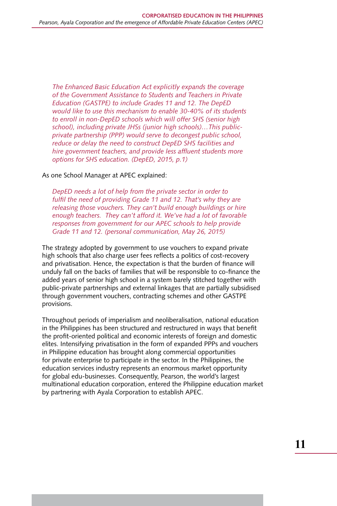*The Enhanced Basic Education Act explicitly expands the coverage of the Government Assistance to Students and Teachers in Private Education (GASTPE) to include Grades 11 and 12. The DepED would like to use this mechanism to enable 30-40% of its students to enroll in non-DepED schools which will offer SHS (senior high school), including private JHSs (junior high schools)…This publicprivate partnership (PPP) would serve to decongest public school, reduce or delay the need to construct DepED SHS facilities and hire government teachers, and provide less affluent students more options for SHS education. (DepED, 2015, p.1)*

As one School Manager at APEC explained:

*DepED needs a lot of help from the private sector in order to fulfil the need of providing Grade 11 and 12. That's why they are releasing those vouchers. They can't build enough buildings or hire enough teachers. They can't afford it. We've had a lot of favorable responses from government for our APEC schools to help provide Grade 11 and 12. (personal communication, May 26, 2015)*

The strategy adopted by government to use vouchers to expand private high schools that also charge user fees reflects a politics of cost-recovery and privatisation. Hence, the expectation is that the burden of finance will unduly fall on the backs of families that will be responsible to co-finance the added years of senior high school in a system barely stitched together with public-private partnerships and external linkages that are partially subsidised through government vouchers, contracting schemes and other GASTPE provisions.

Throughout periods of imperialism and neoliberalisation, national education in the Philippines has been structured and restructured in ways that benefit the profit-oriented political and economic interests of foreign and domestic elites. Intensifying privatisation in the form of expanded PPPs and vouchers in Philippine education has brought along commercial opportunities for private enterprise to participate in the sector. In the Philippines, the education services industry represents an enormous market opportunity for global edu-businesses. Consequently, Pearson, the world's largest multinational education corporation, entered the Philippine education market by partnering with Ayala Corporation to establish APEC.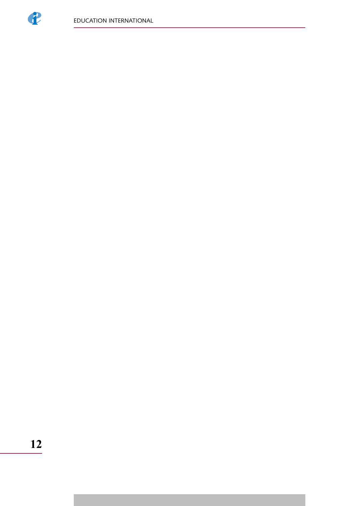

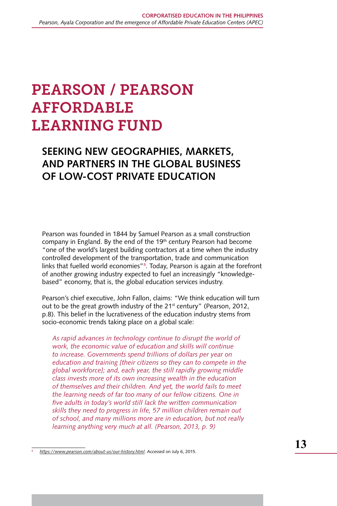### PEARSON / PEARSON AFFORDABLE LEARNING FUND

### **SEEKING NEW GEOGRAPHIES, MARKETS, AND PARTNERS IN THE GLOBAL BUSINESS OF LOW-COST PRIVATE EDUCATION**

Pearson was founded in 1844 by Samuel Pearson as a small construction company in England. By the end of the 19<sup>th</sup> century Pearson had become "one of the world's largest building contractors at a time when the industry controlled development of the transportation, trade and communication links that fuelled world economies"<sup>8</sup>. Today, Pearson is again at the forefront of another growing industry expected to fuel an increasingly "knowledgebased" economy, that is, the global education services industry.

Pearson's chief executive, John Fallon, claims: "We think education will turn out to be the great growth industry of the  $21<sup>st</sup>$  century" (Pearson, 2012, p.8). This belief in the lucrativeness of the education industry stems from socio-economic trends taking place on a global scale:

*As rapid advances in technology continue to disrupt the world of work, the economic value of education and skills will continue to increase. Governments spend trillions of dollars per year on education and training [their citizens so they can to compete in the global workforce]; and, each year, the still rapidly growing middle class invests more of its own increasing wealth in the education of themselves and their children. And yet, the world fails to meet the learning needs of far too many of our fellow citizens. One in five adults in today's world still lack the written communication skills they need to progress in life, 57 million children remain out of school, and many millions more are in education, but not really learning anything very much at all. (Pearson, 2013, p. 9)*

<sup>8</sup> *<https://www.pearson.com/about-us/our-history.html>*. Accessed on July 6, 2015.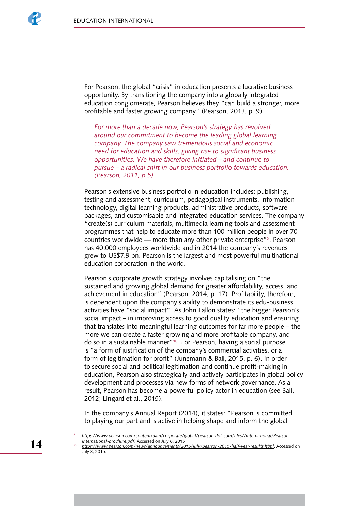

For Pearson, the global "crisis" in education presents a lucrative business opportunity. By transitioning the company into a globally integrated education conglomerate, Pearson believes they "can build a stronger, more profitable and faster growing company" (Pearson, 2013, p. 9).

*For more than a decade now, Pearson's strategy has revolved around our commitment to become the leading global learning company. The company saw tremendous social and economic need for education and skills, giving rise to significant business opportunities. We have therefore initiated – and continue to pursue – a radical shift in our business portfolio towards education. (Pearson, 2011, p.5)*

Pearson's extensive business portfolio in education includes: publishing, testing and assessment, curriculum, pedagogical instruments, information technology, digital learning products, administrative products, software packages, and customisable and integrated education services. The company "create(s) curriculum materials, multimedia learning tools and assessment programmes that help to educate more than 100 million people in over 70 countries worldwide — more than any other private enterprise"<sup>9</sup>. Pearson has 40,000 employees worldwide and in 2014 the company's revenues grew to US\$7.9 bn. Pearson is the largest and most powerful multinational education corporation in the world.

Pearson's corporate growth strategy involves capitalising on "the sustained and growing global demand for greater affordability, access, and achievement in education" (Pearson, 2014, p. 17). Profitability, therefore, is dependent upon the company's ability to demonstrate its edu-business activities have "social impact". As John Fallon states: "the bigger Pearson's social impact – in improving access to good quality education and ensuring that translates into meaningful learning outcomes for far more people – the more we can create a faster growing and more profitable company, and do so in a sustainable manner"10. For Pearson, having a social purpose is "a form of justification of the company's commercial activities, or a form of legitimation for profit" (Junemann & Ball, 2015, p. 6). In order to secure social and political legitimation and continue profit-making in education, Pearson also strategically and actively participates in global policy development and processes via new forms of network governance. As a result, Pearson has become a powerful policy actor in education (see Ball, 2012; Lingard et al., 2015).

In the company's Annual Report (2014), it states: "Pearson is committed to playing our part and is active in helping shape and inform the global

<sup>9</sup> *[https://www.pearson.com/content/dam/corporate/global/pearson-dot-com/files//international/Pearson-](https://www.pearson.com/content/dam/corporate/global/pearson-dot-com/files//international/Pearson-International-brochure.pdf)[International-brochure.pdf](https://www.pearson.com/content/dam/corporate/global/pearson-dot-com/files//international/Pearson-International-brochure.pdf)*. Accessed on July 6, 2015

<sup>10</sup> *<https://www.pearson.com/news/announcements/2015/july/pearson-2015-half-year-results.html>*. Accessed on July 8, 2015.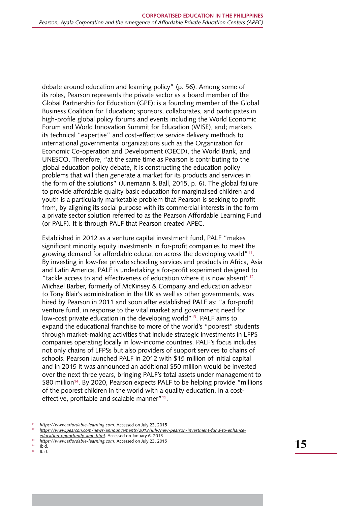debate around education and learning policy" (p. 56). Among some of its roles, Pearson represents the private sector as a board member of the Global Partnership for Education (GPE); is a founding member of the Global Business Coalition for Education; sponsors, collaborates, and participates in high-profile global policy forums and events including the World Economic Forum and World Innovation Summit for Education (WISE), and; markets its technical "expertise" and cost-effective service delivery methods to international governmental organizations such as the Organization for Economic Co-operation and Development (OECD), the World Bank, and UNESCO. Therefore, "at the same time as Pearson is contributing to the global education policy debate, it is constructing the education policy problems that will then generate a market for its products and services in the form of the solutions" (Junemann & Ball, 2015, p. 6). The global failure to provide affordable quality basic education for marginalised children and youth is a particularly marketable problem that Pearson is seeking to profit from, by aligning its social purpose with its commercial interests in the form a private sector solution referred to as the Pearson Affordable Learning Fund (or PALF). It is through PALF that Pearson created APEC.

Established in 2012 as a venture capital investment fund, PALF "makes significant minority equity investments in for-profit companies to meet the growing demand for affordable education across the developing world"11. By investing in low-fee private schooling services and products in Africa, Asia and Latin America, PALF is undertaking a for-profit experiment designed to "tackle access to and effectiveness of education where it is now absent" $12$ . Michael Barber, formerly of McKinsey & Company and education advisor to Tony Blair's administration in the UK as well as other governments, was hired by Pearson in 2011 and soon after established PALF as: "a for-profit venture fund, in response to the vital market and government need for low-cost private education in the developing world"<sup>13</sup>. PALF aims to expand the educational franchise to more of the world's "poorest" students through market-making activities that include strategic investments in LFPS companies operating locally in low-income countries. PALF's focus includes not only chains of LFPSs but also providers of support services to chains of schools. Pearson launched PALF in 2012 with \$15 million of initial capital and in 2015 it was announced an additional \$50 million would be invested over the next three years, bringing PALF's total assets under management to \$80 million<sup>14</sup>. By 2020, Pearson expects PALF to be helping provide "millions" of the poorest children in the world with a quality education, in a costeffective, profitable and scalable manner"15.

<sup>14</sup> Ibid.  $15$  Ibid.

<sup>11</sup> *<https://www.affordable-learning.com>*. Accessed on July 23, 2015

<sup>12</sup> *[https://www.pearson.com/news/announcements/2012/july/new-pearson-investment-fund-to-enhance](https://www.pearson.com/news/announcements/2012/july/new-pearson-investment-fund-to-enhance-education-opportunity-amo.html)[education-opportunity-amo.html](https://www.pearson.com/news/announcements/2012/july/new-pearson-investment-fund-to-enhance-education-opportunity-amo.html)*. Accessed on January 6, 2013

<sup>13</sup> *<https://www.affordable-learning.com>*. Accessed on July 23, 2015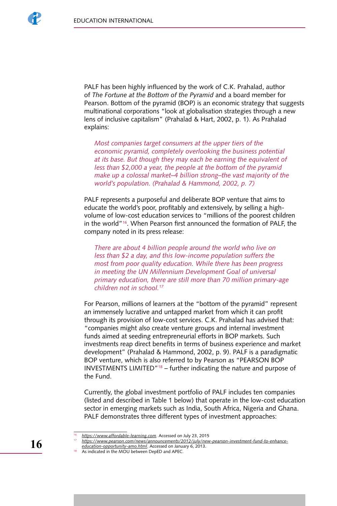

PALF has been highly influenced by the work of C.K. Prahalad, author of *The Fortune at the Bottom of the Pyramid* and a board member for Pearson. Bottom of the pyramid (BOP) is an economic strategy that suggests multinational corporations "look at globalisation strategies through a new lens of inclusive capitalism" (Prahalad & Hart, 2002, p. 1). As Prahalad explains:

*Most companies target consumers at the upper tiers of the economic pyramid, completely overlooking the business potential at its base. But though they may each be earning the equivalent of less than \$2,000 a year, the people at the bottom of the pyramid make up a colossal market–4 billion strong–the vast majority of the world's population. (Prahalad & Hammond, 2002, p. 7)*

PALF represents a purposeful and deliberate BOP venture that aims to educate the world's poor, profitably and extensively, by selling a highvolume of low-cost education services to "millions of the poorest children in the world"16. When Pearson first announced the formation of PALF, the company noted in its press release:

*There are about 4 billion people around the world who live on less than \$2 a day, and this low-income population suffers the most from poor quality education. While there has been progress in meeting the UN Millennium Development Goal of universal primary education, there are still more than 70 million primary-age children not in school.17*

For Pearson, millions of learners at the "bottom of the pyramid" represent an immensely lucrative and untapped market from which it can profit through its provision of low-cost services. C.K. Prahalad has advised that: "companies might also create venture groups and internal investment funds aimed at seeding entrepreneurial efforts in BOP markets. Such investments reap direct benefits in terms of business experience and market development" (Prahalad & Hammond, 2002, p. 9). PALF is a paradigmatic BOP venture, which is also referred to by Pearson as "PEARSON BOP INVESTMENTS LIMITED"18 – further indicating the nature and purpose of the Fund.

Currently, the global investment portfolio of PALF includes ten companies (listed and described in Table 1 below) that operate in the low-cost education sector in emerging markets such as India, South Africa, Nigeria and Ghana. PALF demonstrates three different types of investment approaches:

As indicated in the MOU between DepED and APEC.

<sup>16</sup> *<https://www.affordable-learning.com>*. Accessed on July 23, 2015

<sup>17</sup> *[https://www.pearson.com/news/announcements/2012/july/new-pearson-investment-fund-to-enhance](https://www.pearson.com/news/announcements/2012/july/new-pearson-investment-fund-to-enhance-education-opportunity-amo.html)[education-opportunity-amo.html](https://www.pearson.com/news/announcements/2012/july/new-pearson-investment-fund-to-enhance-education-opportunity-amo.html)*. Accessed on January 6, 2013.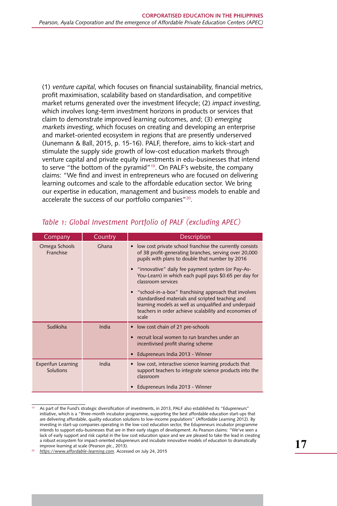(1) venture capital, which focuses on financial sustainability, financial metrics, profit maximisation, scalability based on standardisation, and competitive market returns generated over the investment lifecycle; (2) impact investing, which involves long-term investment horizons in products or services that claim to demonstrate improved learning outcomes, and; (3) emerging markets investing, which focuses on creating and developing an enterprise and market-oriented ecosystem in regions that are presently underserved (Junemann & Ball, 2015, p. 15-16). PALF, therefore, aims to kick-start and stimulate the supply side growth of low-cost education markets through venture capital and private equity investments in edu-businesses that intend to serve "the bottom of the pyramid"19. On PALF's website, the company claims: "We find and invest in entrepreneurs who are focused on delivering learning outcomes and scale to the affordable education sector. We bring our expertise in education, management and business models to enable and accelerate the success of our portfolio companies"20.

| Company                                | Country | <b>Description</b>                                                                                                                                                                                                                  |  |  |
|----------------------------------------|---------|-------------------------------------------------------------------------------------------------------------------------------------------------------------------------------------------------------------------------------------|--|--|
| Omega Schools<br>Franchise             | Ghana   | low cost private school franchise the currently consists<br>of 38 profit-generating branches, serving over 20,000<br>pupils with plans to double that number by 2016                                                                |  |  |
|                                        |         | "innovative" daily fee payment system (or Pay-As-<br>You-Learn) in which each pupil pays \$0.65 per day for<br>classroom services                                                                                                   |  |  |
|                                        |         | "school-in-a-box" franchising approach that involves<br>standardised materials and scripted teaching and<br>learning models as well as unqualified and underpaid<br>teachers in order achieve scalability and economies of<br>scale |  |  |
| Sudiksha                               | India   | • low cost chain of 21 pre-schools                                                                                                                                                                                                  |  |  |
|                                        |         | recruit local women to run branches under an<br>incentivised profit sharing scheme                                                                                                                                                  |  |  |
|                                        |         | Edupreneurs India 2013 - Winner                                                                                                                                                                                                     |  |  |
| <b>Experifun Learning</b><br>Solutions | India   | low cost, interactive science learning products that<br>support teachers to integrate science products into the<br>classroom                                                                                                        |  |  |
|                                        |         | Edupreneurs India 2013 - Winner                                                                                                                                                                                                     |  |  |

#### *Table 1: Global Investment Portfolio of PALF (excluding APEC)*

As part of the Fund's strategic diversification of investments, in 2013, PALF also established its "Edupreneurs" initiative, which is a "three-month incubator programme, supporting the best affordable education start-ups that are delivering affordable, quality education solutions to low-income populations" (Affordable Learning 2012). By investing in start-up companies operating in the low-cost education sector, the Edupreneurs incubator programme intends to support edu-businesses that are in their early stages of development. As Pearson claims: "We've seen a lack of early support and risk capital in the low cost education space and we are pleased to take the lead in creating a robust ecosystem for impact-oriented edupreneurs and incubate innovative models of education to dramatically improve learning at scale (Pearson plc., 2013).

<sup>20</sup> *<https://www.affordable-learning.com>*. Accessed on July 24, 2015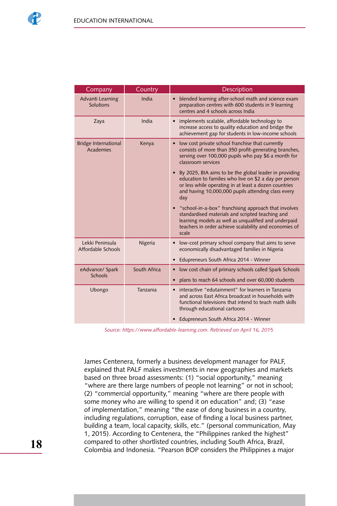4

| Company                                  | Country      | Description                                                                                                                                                                                                                                                                                                                                                                                                                                                                                                                                                                                                                                                                                       |  |  |
|------------------------------------------|--------------|---------------------------------------------------------------------------------------------------------------------------------------------------------------------------------------------------------------------------------------------------------------------------------------------------------------------------------------------------------------------------------------------------------------------------------------------------------------------------------------------------------------------------------------------------------------------------------------------------------------------------------------------------------------------------------------------------|--|--|
| Advanti Learning<br><b>Solutions</b>     | India        | blended learning after-school math and science exam<br>$\bullet$<br>preparation centres with 600 students in 9 learning<br>centres and 4 schools across India                                                                                                                                                                                                                                                                                                                                                                                                                                                                                                                                     |  |  |
| Zaya                                     | India        | implements scalable, affordable technology to<br>$\bullet$<br>increase access to quality education and bridge the<br>achievement gap for students in low-income schools                                                                                                                                                                                                                                                                                                                                                                                                                                                                                                                           |  |  |
| Bridge International<br><b>Academies</b> | Kenya        | low cost private school franchise that currently<br>$\bullet$<br>consists of more than 350 profit-generating branches,<br>serving over 100,000 pupils who pay \$6 a month for<br>classroom services<br>By 2025, BIA aims to be the global leader in providing<br>$\bullet$<br>education to families who live on \$2 a day per person<br>or less while operating in at least a dozen countries<br>and having 10,000,000 pupils attending class every<br>day<br>"school-in-a-box" franchising approach that involves<br>standardised materials and scripted teaching and<br>learning models as well as unqualified and underpaid<br>teachers in order achieve scalability and economies of<br>scale |  |  |
| Lekki Peninsula<br>Affordable Schools    | Nigeria      | low-cost primary school company that aims to serve<br>$\bullet$<br>economically disadvantaged families in Nigeria<br>Edupreneurs South Africa 2014 - Winner<br>$\bullet$                                                                                                                                                                                                                                                                                                                                                                                                                                                                                                                          |  |  |
| eAdvance/ Spark<br>Schools               | South Africa | low cost chain of primary schools called Spark Schools<br>$\bullet$<br>plans to reach 64 schools and over 60,000 students<br>$\bullet$                                                                                                                                                                                                                                                                                                                                                                                                                                                                                                                                                            |  |  |
| Ubongo                                   | Tanzania     | interactive "edutainment" for learners in Tanzania<br>$\bullet$<br>and across East Africa broadcast in households with<br>functional televisions that intend to teach math skills<br>through educational cartoons                                                                                                                                                                                                                                                                                                                                                                                                                                                                                 |  |  |
|                                          |              | Edupreneurs South Africa 2014 - Winner<br>$\bullet$                                                                                                                                                                                                                                                                                                                                                                                                                                                                                                                                                                                                                                               |  |  |

*Source: https://www.affordable-learning.com. Retrieved on April 16, 2015.* 

James Centenera, formerly a business development manager for PALF, explained that PALF makes investments in new geographies and markets based on three broad assessments: (1) "social opportunity," meaning "where are there large numbers of people not learning" or not in school; (2) "commercial opportunity," meaning "where are there people with some money who are willing to spend it on education" and; (3) "ease of implementation," meaning "the ease of dong business in a country, including regulations, corruption, ease of finding a local business partner, building a team, local capacity, skills, etc." (personal communication, May 1, 2015). According to Centenera, the "Philippines ranked the highest" compared to other shortlisted countries, including South Africa, Brazil, Colombia and Indonesia. "Pearson BOP considers the Philippines a major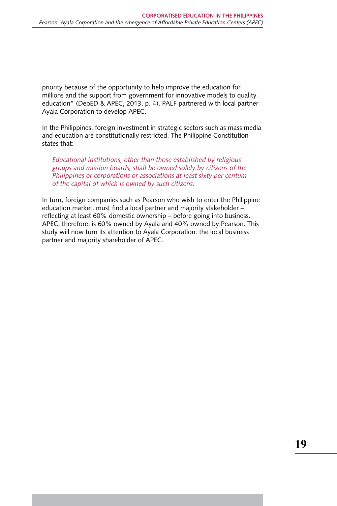priority because of the opportunity to help improve the education for millions and the support from government for innovative models to quality education" (DepED & APEC, 2013, p. 4). PALF partnered with local partner Ayala Corporation to develop APEC.

In the Philippines, foreign investment in strategic sectors such as mass media and education are constitutionally restricted. The Philippine Constitution states that:

*Educational institutions, other than those established by religious groups and mission boards, shall be owned solely by citizens of the Philippines or corporations or associations at least sixty per centum of the capital of which is owned by such citizens.*

In turn, foreign companies such as Pearson who wish to enter the Philippine education market, must find a local partner and majority stakeholder – reflecting at least 60% domestic ownership – before going into business. APEC, therefore, is 60% owned by Ayala and 40% owned by Pearson. This study will now turn its attention to Ayala Corporation: the local business partner and majority shareholder of APEC.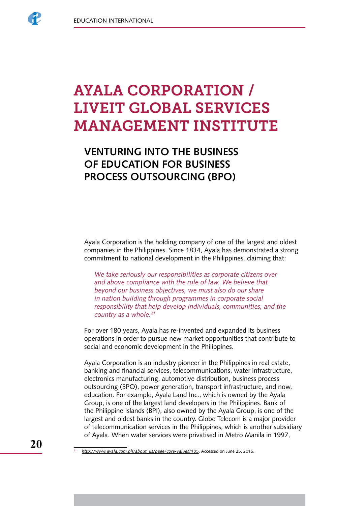

### AYALA CORPORATION / LIVEIT GLOBAL SERVICES MANAGEMENT INSTITUTE

### **VENTURING INTO THE BUSINESS OF EDUCATION FOR BUSINESS PROCESS OUTSOURCING (BPO)**

Ayala Corporation is the holding company of one of the largest and oldest companies in the Philippines. Since 1834, Ayala has demonstrated a strong commitment to national development in the Philippines, claiming that:

*We take seriously our responsibilities as corporate citizens over and above compliance with the rule of law. We believe that beyond our business objectives, we must also do our share in nation building through programmes in corporate social responsibility that help develop individuals, communities, and the country as a whole.21*

For over 180 years, Ayala has re-invented and expanded its business operations in order to pursue new market opportunities that contribute to social and economic development in the Philippines.

Ayala Corporation is an industry pioneer in the Philippines in real estate, banking and financial services, telecommunications, water infrastructure, electronics manufacturing, automotive distribution, business process outsourcing (BPO), power generation, transport infrastructure, and now, education. For example, Ayala Land Inc., which is owned by the Ayala Group, is one of the largest land developers in the Philippines. Bank of the Philippine Islands (BPI), also owned by the Ayala Group, is one of the largest and oldest banks in the country. Globe Telecom is a major provider of telecommunication services in the Philippines, which is another subsidiary of Ayala. When water services were privatised in Metro Manila in 1997,

<sup>21</sup> *[http://www.ayala.com.ph/about\\_us/page/core-values/105](http://www.ayala.com.ph/about_us/page/core-values/105)*. Accessed on June 25, 2015.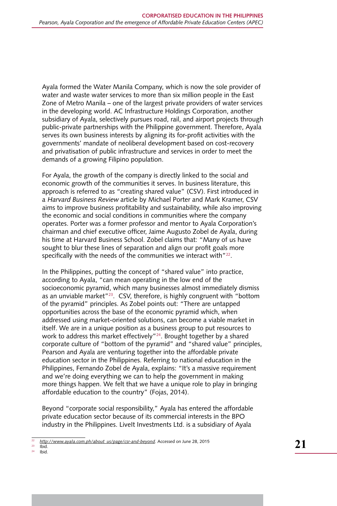Ayala formed the Water Manila Company, which is now the sole provider of water and waste water services to more than six million people in the East Zone of Metro Manila – one of the largest private providers of water services in the developing world. AC Infrastructure Holdings Corporation, another subsidiary of Ayala, selectively pursues road, rail, and airport projects through public-private partnerships with the Philippine government. Therefore, Ayala serves its own business interests by aligning its for-profit activities with the governments' mandate of neoliberal development based on cost-recovery and privatisation of public infrastructure and services in order to meet the demands of a growing Filipino population.

For Ayala, the growth of the company is directly linked to the social and economic growth of the communities it serves. In business literature, this approach is referred to as "creating shared value" (CSV). First introduced in a Harvard Business Review article by Michael Porter and Mark Kramer, CSV aims to improve business profitability and sustainability, while also improving the economic and social conditions in communities where the company operates. Porter was a former professor and mentor to Ayala Corporation's chairman and chief executive officer, Jaime Augusto Zobel de Ayala, during his time at Harvard Business School. Zobel claims that: "Many of us have sought to blur these lines of separation and align our profit goals more specifically with the needs of the communities we interact with"<sup>22</sup>.

In the Philippines, putting the concept of "shared value" into practice, according to Ayala, "can mean operating in the low end of the socioeconomic pyramid, which many businesses almost immediately dismiss as an unviable market"<sup>23</sup>. CSV, therefore, is highly congruent with "bottom of the pyramid" principles. As Zobel points out: "There are untapped opportunities across the base of the economic pyramid which, when addressed using market-oriented solutions, can become a viable market in itself. We are in a unique position as a business group to put resources to work to address this market effectively"<sup>24</sup>. Brought together by a shared corporate culture of "bottom of the pyramid" and "shared value" principles, Pearson and Ayala are venturing together into the affordable private education sector in the Philippines. Referring to national education in the Philippines, Fernando Zobel de Ayala, explains: "It's a massive requirement and we're doing everything we can to help the government in making more things happen. We felt that we have a unique role to play in bringing affordable education to the country" (Fojas, 2014).

Beyond "corporate social responsibility," Ayala has entered the affordable private education sector because of its commercial interests in the BPO industry in the Philippines. LiveIt Investments Ltd. is a subsidiary of Ayala

 $\frac{22}{24}$  *[http://www.ayala.com.ph/about\\_us/page/csr-and-beyond](http://www.ayala.com.ph/about_us/page/csr-and-beyond).* Accessed on June 28, 2015

<sup>23</sup> Ibid. <sup>24</sup> Ibid.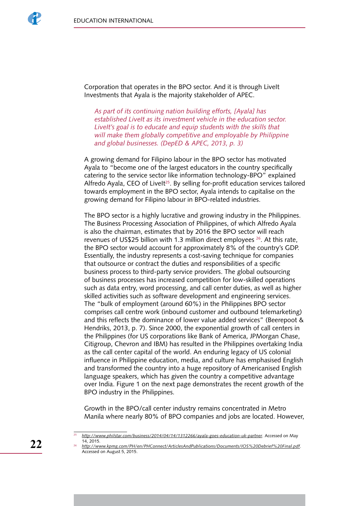Corporation that operates in the BPO sector. And it is through LiveIt Investments that Ayala is the majority stakeholder of APEC.

*As part of its continuing nation building efforts, [Ayala] has established LiveIt as its investment vehicle in the education sector. LiveIt's goal is to educate and equip students with the skills that will make them globally competitive and employable by Philippine and global businesses. (DepED & APEC, 2013, p. 3)* 

A growing demand for Filipino labour in the BPO sector has motivated Ayala to "become one of the largest educators in the country specifically catering to the service sector like information technology-BPO" explained Alfredo Ayala, CEO of LiveIt<sup>25</sup>. By selling for-profit education services tailored towards employment in the BPO sector, Ayala intends to capitalise on the growing demand for Filipino labour in BPO-related industries.

The BPO sector is a highly lucrative and growing industry in the Philippines. The Business Processing Association of Philippines, of which Alfredo Ayala is also the chairman, estimates that by 2016 the BPO sector will reach revenues of US\$25 billion with 1.3 million direct employees 26. At this rate, the BPO sector would account for approximately 8% of the country's GDP. Essentially, the industry represents a cost-saving technique for companies that outsource or contract the duties and responsibilities of a specific business process to third-party service providers. The global outsourcing of business processes has increased competition for low-skilled operations such as data entry, word processing, and call center duties, as well as higher skilled activities such as software development and engineering services. The "bulk of employment (around 60%) in the Philippines BPO sector comprises call centre work (inbound customer and outbound telemarketing) and this reflects the dominance of lower value added services" (Beerepoot & Hendriks, 2013, p. 7). Since 2000, the exponential growth of call centers in the Philippines (for US corporations like Bank of America, JPMorgan Chase, Citigroup, Chevron and IBM) has resulted in the Philippines overtaking India as the call center capital of the world. An enduring legacy of US colonial influence in Philippine education, media, and culture has emphasised English and transformed the country into a huge repository of Americanised English language speakers, which has given the country a competitive advantage over India. Figure 1 on the next page demonstrates the recent growth of the BPO industry in the Philippines.

Growth in the BPO/call center industry remains concentrated in Metro Manila where nearly 80% of BPO companies and jobs are located. However,

<sup>25</sup> *<http://www.philstar.com/business/2014/04/14/1312266/ayala-goes-education-uk-partner>*. Accessed on May  $14, 2015$ 

<sup>26</sup> *<http://www.kpmg.com/PH/en/PHConnect/ArticlesAndPublications/Documents/IOS%20Debrief%20Final.pdf>*. Accessed on August 5, 2015.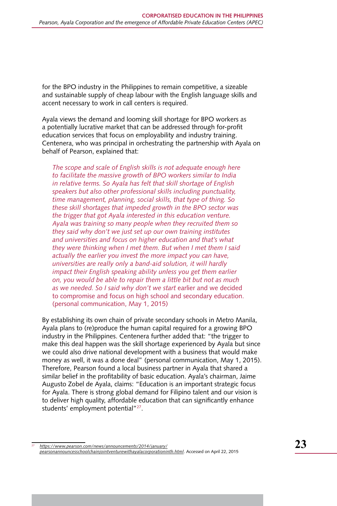for the BPO industry in the Philippines to remain competitive, a sizeable and sustainable supply of cheap labour with the English language skills and accent necessary to work in call centers is required.

Ayala views the demand and looming skill shortage for BPO workers as a potentially lucrative market that can be addressed through for-profit education services that focus on employability and industry training. Centenera, who was principal in orchestrating the partnership with Ayala on behalf of Pearson, explained that:

*The scope and scale of English skills is not adequate enough here to facilitate the massive growth of BPO workers similar to India in relative terms. So Ayala has felt that skill shortage of English speakers but also other professional skills including punctuality, time management, planning, social skills, that type of thing. So these skill shortages that impeded growth in the BPO sector was the trigger that got Ayala interested in this education venture. Ayala was training so many people when they recruited them so they said why don't we just set up our own training institutes and universities and focus on higher education and that's what they were thinking when I met them. But when I met them I said actually the earlier you invest the more impact you can have, universities are really only a band-aid solution, it will hardly impact their English speaking ability unless you get them earlier on, you would be able to repair them a little bit but not as much as we needed. So I said why don't we start* earlier and we decided to compromise and focus on high school and secondary education. (personal communication, May 1, 2015)

By establishing its own chain of private secondary schools in Metro Manila, Ayala plans to (re)produce the human capital required for a growing BPO industry in the Philippines. Centenera further added that: "the trigger to make this deal happen was the skill shortage experienced by Ayala but since we could also drive national development with a business that would make money as well, it was a done deal" (personal communication, May 1, 2015). Therefore, Pearson found a local business partner in Ayala that shared a similar belief in the profitability of basic education. Ayala's chairman, Jaime Augusto Zobel de Ayala, claims: "Education is an important strategic focus for Ayala. There is strong global demand for Filipino talent and our vision is to deliver high quality, affordable education that can significantly enhance students' employment potential"<sup>27</sup>.

<sup>27</sup> *[https://www.pearson.com/news/announcements/2014/january/](https://www.pearson.com/news/announcements/2014/january/pearson-announcesschoolchainjointventurewithayalacorporationinth.html) [pearsonannouncesschoolchainjointventurewithayalacorporationinth.html](https://www.pearson.com/news/announcements/2014/january/pearson-announcesschoolchainjointventurewithayalacorporationinth.html)*. Accessed on April 22, 2015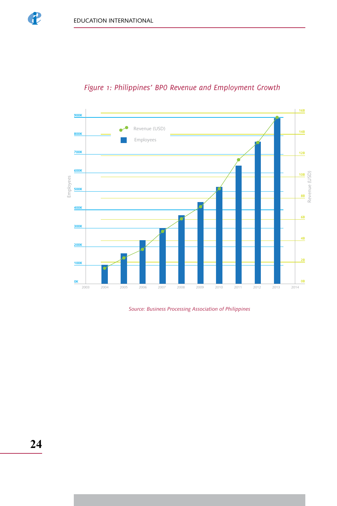$\mathbf{P}$ 

#### *Figure 1: Philippines' BPO Revenue and Employment Growth*



*Source: Business Processing Association of Philippines*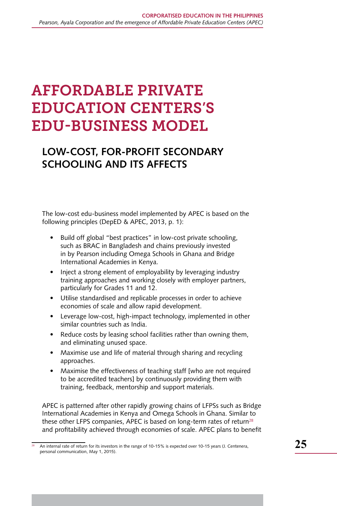# AFFORDABLE PRIVATE EDUCATION CENTERS'S EDU-BUSINESS MODEL

### **LOW-COST, FOR-PROFIT SECONDARY SCHOOLING AND ITS AFFECTS**

The low-cost edu-business model implemented by APEC is based on the following principles (DepED & APEC, 2013, p. 1):

- Build off global "best practices" in low-cost private schooling, such as BRAC in Bangladesh and chains previously invested in by Pearson including Omega Schools in Ghana and Bridge International Academies in Kenya.
- Inject a strong element of employability by leveraging industry training approaches and working closely with employer partners, particularly for Grades 11 and 12.
- Utilise standardised and replicable processes in order to achieve economies of scale and allow rapid development.
- Leverage low-cost, high-impact technology, implemented in other similar countries such as India.
- Reduce costs by leasing school facilities rather than owning them, and eliminating unused space.
- Maximise use and life of material through sharing and recycling approaches.
- Maximise the effectiveness of teaching staff [who are not required to be accredited teachers] by continuously providing them with training, feedback, mentorship and support materials.

APEC is patterned after other rapidly growing chains of LFPSs such as Bridge International Academies in Kenya and Omega Schools in Ghana. Similar to these other LFPS companies, APEC is based on long-term rates of return<sup>28</sup> and profitability achieved through economies of scale. APEC plans to benefit

<sup>28</sup> An internal rate of return for its investors in the range of 10-15% is expected over 10-15 years (J. Centenera, personal communication, May 1, 2015).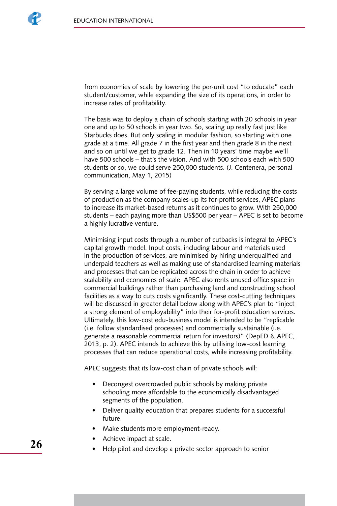

from economies of scale by lowering the per-unit cost "to educate" each student/customer, while expanding the size of its operations, in order to increase rates of profitability.

The basis was to deploy a chain of schools starting with 20 schools in year one and up to 50 schools in year two. So, scaling up really fast just like Starbucks does. But only scaling in modular fashion, so starting with one grade at a time. All grade 7 in the first year and then grade 8 in the next and so on until we get to grade 12. Then in 10 years' time maybe we'll have 500 schools – that's the vision. And with 500 schools each with 500 students or so, we could serve 250,000 students. (J. Centenera, personal communication, May 1, 2015)

By serving a large volume of fee-paying students, while reducing the costs of production as the company scales-up its for-profit services, APEC plans to increase its market-based returns as it continues to grow. With 250,000 students – each paying more than US\$500 per year – APEC is set to become a highly lucrative venture.

Minimising input costs through a number of cutbacks is integral to APEC's capital growth model. Input costs, including labour and materials used in the production of services, are minimised by hiring underqualified and underpaid teachers as well as making use of standardised learning materials and processes that can be replicated across the chain in order to achieve scalability and economies of scale. APEC also rents unused office space in commercial buildings rather than purchasing land and constructing school facilities as a way to cuts costs significantly. These cost-cutting techniques will be discussed in greater detail below along with APEC's plan to "inject a strong element of employability" into their for-profit education services. Ultimately, this low-cost edu-business model is intended to be "replicable (i.e. follow standardised processes) and commercially sustainable (i.e. generate a reasonable commercial return for investors)" (DepED & APEC, 2013, p. 2). APEC intends to achieve this by utilising low-cost learning processes that can reduce operational costs, while increasing profitability.

APEC suggests that its low-cost chain of private schools will:

- Decongest overcrowded public schools by making private schooling more affordable to the economically disadvantaged segments of the population.
- Deliver quality education that prepares students for a successful future.
- Make students more employment-ready.
- Achieve impact at scale.
- Help pilot and develop a private sector approach to senior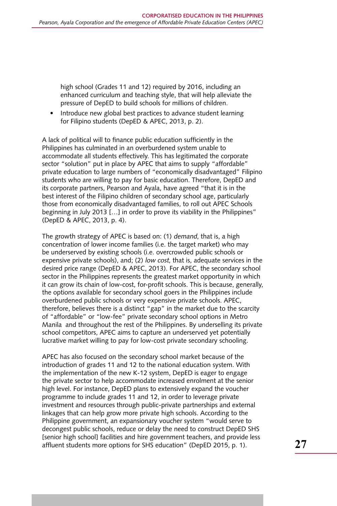high school (Grades 11 and 12) required by 2016, including an enhanced curriculum and teaching style, that will help alleviate the pressure of DepED to build schools for millions of children.

• Introduce new global best practices to advance student learning for Filipino students (DepED & APEC, 2013, p. 2).

A lack of political will to finance public education sufficiently in the Philippines has culminated in an overburdened system unable to accommodate all students effectively. This has legitimated the corporate sector "solution" put in place by APEC that aims to supply "affordable" private education to large numbers of "economically disadvantaged" Filipino students who are willing to pay for basic education. Therefore, DepED and its corporate partners, Pearson and Ayala, have agreed "that it is in the best interest of the Filipino children of secondary school age, particularly those from economically disadvantaged families, to roll out APEC Schools beginning in July 2013 […] in order to prove its viability in the Philippines" (DepED & APEC, 2013, p. 4).

The growth strategy of APEC is based on: (1) demand, that is, a high concentration of lower income families (i.e. the target market) who may be underserved by existing schools (i.e. overcrowded public schools or expensive private schools), and; (2) low cost, that is, adequate services in the desired price range (DepED & APEC, 2013). For APEC, the secondary school sector in the Philippines represents the greatest market opportunity in which it can grow its chain of low-cost, for-profit schools. This is because, generally, the options available for secondary school goers in the Philippines include overburdened public schools or very expensive private schools. APEC, therefore, believes there is a distinct "gap" in the market due to the scarcity of "affordable" or "low-fee" private secondary school options in Metro Manila and throughout the rest of the Philippines. By underselling its private school competitors, APEC aims to capture an underserved yet potentially lucrative market willing to pay for low-cost private secondary schooling.

APEC has also focused on the secondary school market because of the introduction of grades 11 and 12 to the national education system. With the implementation of the new K-12 system, DepED is eager to engage the private sector to help accommodate increased enrolment at the senior high level. For instance, DepED plans to extensively expand the voucher programme to include grades 11 and 12, in order to leverage private investment and resources through public-private partnerships and external linkages that can help grow more private high schools. According to the Philippine government, an expansionary voucher system "would serve to decongest public schools, reduce or delay the need to construct DepED SHS [senior high school] facilities and hire government teachers, and provide less affluent students more options for SHS education" (DepED 2015, p. 1).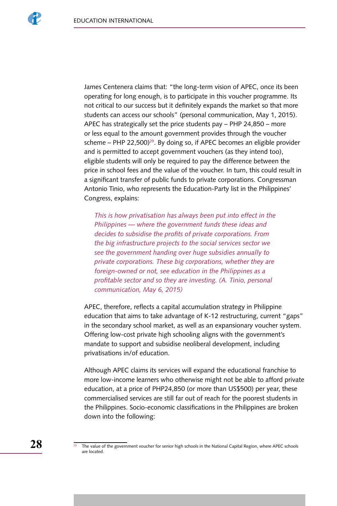James Centenera claims that: "the long-term vision of APEC, once its been operating for long enough, is to participate in this voucher programme. Its not critical to our success but it definitely expands the market so that more students can access our schools" (personal communication, May 1, 2015). APEC has strategically set the price students pay – PHP 24,850 – more or less equal to the amount government provides through the voucher scheme – PHP 22,500 $^{29}$ . By doing so, if APEC becomes an eligible provider and is permitted to accept government vouchers (as they intend too), eligible students will only be required to pay the difference between the price in school fees and the value of the voucher. In turn, this could result in a significant transfer of public funds to private corporations. Congressman Antonio Tinio, who represents the Education-Party list in the Philippines' Congress, explains:

*This is how privatisation has always been put into effect in the Philippines — where the government funds these ideas and decides to subsidise the profits of private corporations. From the big infrastructure projects to the social services sector we see the government handing over huge subsidies annually to private corporations. These big corporations, whether they are foreign-owned or not, see education in the Philippines as a profitable sector and so they are investing. (A. Tinio, personal communication, May 6, 2015)*

APEC, therefore, reflects a capital accumulation strategy in Philippine education that aims to take advantage of K-12 restructuring, current "gaps" in the secondary school market, as well as an expansionary voucher system. Offering low-cost private high schooling aligns with the government's mandate to support and subsidise neoliberal development, including privatisations in/of education.

Although APEC claims its services will expand the educational franchise to more low-income learners who otherwise might not be able to afford private education, at a price of PHP24,850 (or more than US\$500) per year, these commercialised services are still far out of reach for the poorest students in the Philippines. Socio-economic classifications in the Philippines are broken down into the following:

The value of the government voucher for senior high schools in the National Capital Region, where APEC schools are located.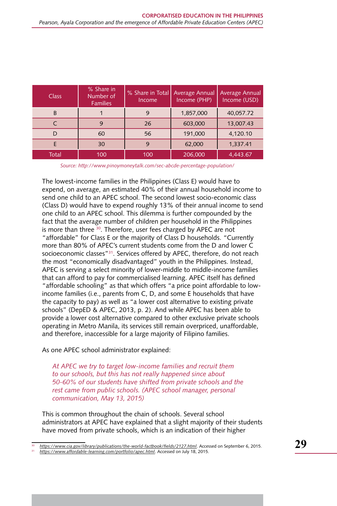| <b>Class</b> | % Share in<br>Number of<br><b>Families</b> | % Share in Total   Average Annual<br>Income | Income (PHP) | Average Annual<br>Income (USD) |
|--------------|--------------------------------------------|---------------------------------------------|--------------|--------------------------------|
| B            |                                            | 9                                           | 1,857,000    | 40,057.72                      |
|              | 9                                          | 26                                          | 603,000      | 13,007.43                      |
|              | 60                                         | 56                                          | 191,000      | 4,120.10                       |
| E            | 30                                         | 9                                           | 62,000       | 1,337.41                       |
| Total        | 100                                        | 100                                         | 206,000      | 4,443.67                       |

*Source: http://www.pinoymoneytalk.com/sec-abcde-percentage-population/*

The lowest-income families in the Philippines (Class E) would have to expend, on average, an estimated 40% of their annual household income to send one child to an APEC school. The second lowest socio-economic class (Class D) would have to expend roughly 13% of their annual income to send one child to an APEC school. This dilemma is further compounded by the fact that the average number of children per household in the Philippines is more than three <sup>30</sup>. Therefore, user fees charged by APEC are not "affordable" for Class E or the majority of Class D households. "Currently more than 80% of APEC's current students come from the D and lower C socioeconomic classes"<sup>31</sup>. Services offered by APEC, therefore, do not reach the most "economically disadvantaged" youth in the Philippines. Instead, APEC is serving a select minority of lower-middle to middle-income families that can afford to pay for commercialised learning. APEC itself has defined "affordable schooling" as that which offers "a price point affordable to lowincome families (i.e., parents from C, D, and some E households that have the capacity to pay) as well as "a lower cost alternative to existing private schools" (DepED & APEC, 2013, p. 2). And while APEC has been able to provide a lower cost alternative compared to other exclusive private schools operating in Metro Manila, its services still remain overpriced, unaffordable, and therefore, inaccessible for a large majority of Filipino families.

As one APEC school administrator explained:

*At APEC we try to target low-income families and recruit them to our schools, but this has not really happened since about 50-60% of our students have shifted from private schools and the rest came from public schools. (APEC school manager, personal communication, May 13, 2015)*

This is common throughout the chain of schools. Several school administrators at APEC have explained that a slight majority of their students have moved from private schools, which is an indication of their higher

<sup>30</sup> *<https://www.cia.gov/library/publications/the-world-factbook/fields/2127.html>*. Accessed on September 6, 2015.

<https://www.affordable-learning.com/portfolio/apec.html>. Accessed on July 18, 2015.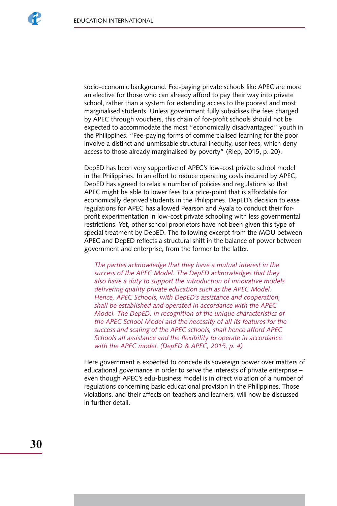socio-economic background. Fee-paying private schools like APEC are more an elective for those who can already afford to pay their way into private school, rather than a system for extending access to the poorest and most marginalised students. Unless government fully subsidises the fees charged by APEC through vouchers, this chain of for-profit schools should not be expected to accommodate the most "economically disadvantaged" youth in the Philippines. "Fee-paying forms of commercialised learning for the poor involve a distinct and unmissable structural inequity, user fees, which deny access to those already marginalised by poverty" (Riep, 2015, p. 20).

DepED has been very supportive of APEC's low-cost private school model in the Philippines. In an effort to reduce operating costs incurred by APEC, DepED has agreed to relax a number of policies and regulations so that APEC might be able to lower fees to a price-point that is affordable for economically deprived students in the Philippines. DepED's decision to ease regulations for APEC has allowed Pearson and Ayala to conduct their forprofit experimentation in low-cost private schooling with less governmental restrictions. Yet, other school proprietors have not been given this type of special treatment by DepED. The following excerpt from the MOU between APEC and DepED reflects a structural shift in the balance of power between government and enterprise, from the former to the latter.

*The parties acknowledge that they have a mutual interest in the success of the APEC Model. The DepED acknowledges that they also have a duty to support the introduction of innovative models delivering quality private education such as the APEC Model. Hence, APEC Schools, with DepED's assistance and cooperation, shall be established and operated in accordance with the APEC Model. The DepED, in recognition of the unique characteristics of the APEC School Model and the necessity of all its features for the success and scaling of the APEC schools, shall hence afford APEC Schools all assistance and the flexibility to operate in accordance with the APEC model. (DepED & APEC, 2015, p. 4)*

Here government is expected to concede its sovereign power over matters of educational governance in order to serve the interests of private enterprise – even though APEC's edu-business model is in direct violation of a number of regulations concerning basic educational provision in the Philippines. Those violations, and their affects on teachers and learners, will now be discussed in further detail.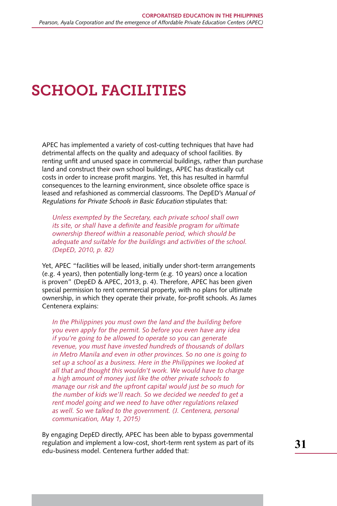### SCHOOL FACILITIES

APEC has implemented a variety of cost-cutting techniques that have had detrimental affects on the quality and adequacy of school facilities. By renting unfit and unused space in commercial buildings, rather than purchase land and construct their own school buildings, APEC has drastically cut costs in order to increase profit margins. Yet, this has resulted in harmful consequences to the learning environment, since obsolete office space is leased and refashioned as commercial classrooms. The DepED's Manual of Regulations for Private Schools in Basic Education stipulates that:

*Unless exempted by the Secretary, each private school shall own its site, or shall have a definite and feasible program for ultimate ownership thereof within a reasonable period, which should be adequate and suitable for the buildings and activities of the school. (DepED, 2010, p. 82)*

Yet, APEC "facilities will be leased, initially under short-term arrangements (e.g. 4 years), then potentially long-term (e.g. 10 years) once a location is proven" (DepED & APEC, 2013, p. 4). Therefore, APEC has been given special permission to rent commercial property, with no plans for ultimate ownership, in which they operate their private, for-profit schools. As James Centenera explains:

*In the Philippines you must own the land and the building before you even apply for the permit. So before you even have any idea if you're going to be allowed to operate so you can generate revenue, you must have invested hundreds of thousands of dollars in Metro Manila and even in other provinces. So no one is going to set up a school as a business. Here in the Philippines we looked at all that and thought this wouldn't work. We would have to charge a high amount of money just like the other private schools to manage our risk and the upfront capital would just be so much for the number of kids we'll reach. So we decided we needed to get a rent model going and we need to have other regulations relaxed as well. So we talked to the government. (J. Centenera, personal communication, May 1, 2015)*

By engaging DepED directly, APEC has been able to bypass governmental regulation and implement a low-cost, short-term rent system as part of its edu-business model. Centenera further added that: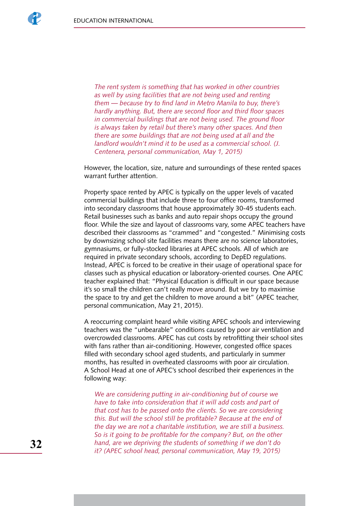*The rent system is something that has worked in other countries as well by using facilities that are not being used and renting them — because try to find land in Metro Manila to buy, there's hardly anything. But, there are second floor and third floor spaces in commercial buildings that are not being used. The ground floor is always taken by retail but there's many other spaces. And then there are some buildings that are not being used at all and the landlord wouldn't mind it to be used as a commercial school. (J. Centenera, personal communication, May 1, 2015)*

However, the location, size, nature and surroundings of these rented spaces warrant further attention.

Property space rented by APEC is typically on the upper levels of vacated commercial buildings that include three to four office rooms, transformed into secondary classrooms that house approximately 30-45 students each. Retail businesses such as banks and auto repair shops occupy the ground floor. While the size and layout of classrooms vary, some APEC teachers have described their classrooms as "crammed" and "congested." Minimising costs by downsizing school site facilities means there are no science laboratories, gymnasiums, or fully-stocked libraries at APEC schools. All of which are required in private secondary schools, according to DepED regulations. Instead, APEC is forced to be creative in their usage of operational space for classes such as physical education or laboratory-oriented courses. One APEC teacher explained that: "Physical Education is difficult in our space because it's so small the children can't really move around. But we try to maximise the space to try and get the children to move around a bit" (APEC teacher, personal communication, May 21, 2015).

A reoccurring complaint heard while visiting APEC schools and interviewing teachers was the "unbearable" conditions caused by poor air ventilation and overcrowded classrooms. APEC has cut costs by retrofitting their school sites with fans rather than air-conditioning. However, congested office spaces filled with secondary school aged students, and particularly in summer months, has resulted in overheated classrooms with poor air circulation. A School Head at one of APEC's school described their experiences in the following way:

*We are considering putting in air-conditioning but of course we have to take into consideration that it will add costs and part of that cost has to be passed onto the clients. So we are considering this. But will the school still be profitable? Because at the end of the day we are not a charitable institution, we are still a business. So is it going to be profitable for the company? But, on the other hand, are we depriving the students of something if we don't do it? (APEC school head, personal communication, May 19, 2015)*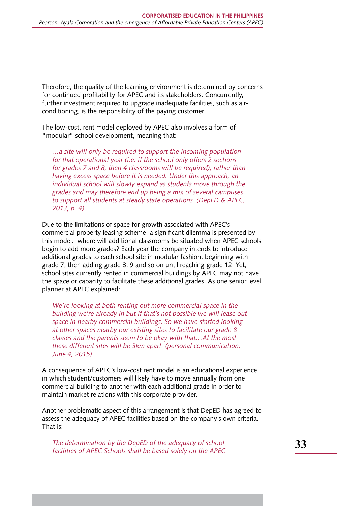Therefore, the quality of the learning environment is determined by concerns for continued profitability for APEC and its stakeholders. Concurrently, further investment required to upgrade inadequate facilities, such as airconditioning, is the responsibility of the paying customer.

The low-cost, rent model deployed by APEC also involves a form of "modular" school development, meaning that:

*…a site will only be required to support the incoming population for that operational year (i.e. if the school only offers 2 sections for grades 7 and 8, then 4 classrooms will be required), rather than having excess space before it is needed. Under this approach, an individual school will slowly expand as students move through the grades and may therefore end up being a mix of several campuses to support all students at steady state operations. (DepED & APEC, 2013, p. 4)*

Due to the limitations of space for growth associated with APEC's commercial property leasing scheme, a significant dilemma is presented by this model: where will additional classrooms be situated when APEC schools begin to add more grades? Each year the company intends to introduce additional grades to each school site in modular fashion, beginning with grade 7, then adding grade 8, 9 and so on until reaching grade 12. Yet, school sites currently rented in commercial buildings by APEC may not have the space or capacity to facilitate these additional grades. As one senior level planner at APEC explained:

*We're looking at both renting out more commercial space in the building we're already in but if that's not possible we will lease out space in nearby commercial buildings. So we have started looking at other spaces nearby our existing sites to facilitate our grade 8 classes and the parents seem to be okay with that…At the most these different sites will be 3km apart. (personal communication, June 4, 2015)* 

A consequence of APEC's low-cost rent model is an educational experience in which student/customers will likely have to move annually from one commercial building to another with each additional grade in order to maintain market relations with this corporate provider.

Another problematic aspect of this arrangement is that DepED has agreed to assess the adequacy of APEC facilities based on the company's own criteria. That is:

*The determination by the DepED of the adequacy of school facilities of APEC Schools shall be based solely on the APEC*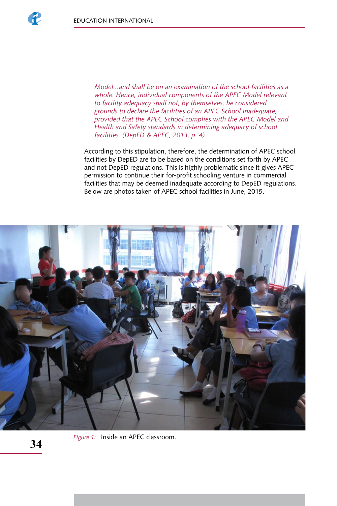P

*Model...and shall be on an examination of the school facilities as a whole. Hence, individual components of the APEC Model relevant to facility adequacy shall not, by themselves, be considered grounds to declare the facilities of an APEC School inadequate, provided that the APEC School complies with the APEC Model and Health and Safety standards in determining adequacy of school facilities. (DepED & APEC, 2013, p. 4)*

According to this stipulation, therefore, the determination of APEC school facilities by DepED are to be based on the conditions set forth by APEC and not DepED regulations. This is highly problematic since it gives APEC permission to continue their for-profit schooling venture in commercial facilities that may be deemed inadequate according to DepED regulations. Below are photos taken of APEC school facilities in June, 2015.



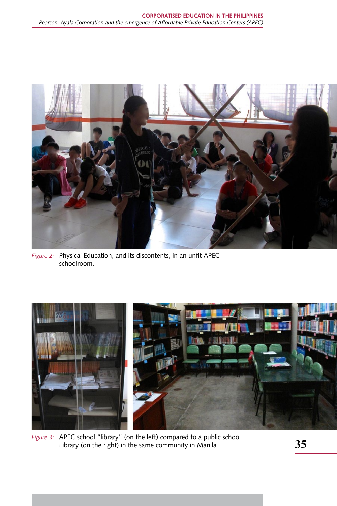

*Figure 2:* Physical Education, and its discontents, in an unfit APEC schoolroom.



*Figure 3:* APEC school "library" (on the left) compared to a public school Library (on the right) in the same community in Manila.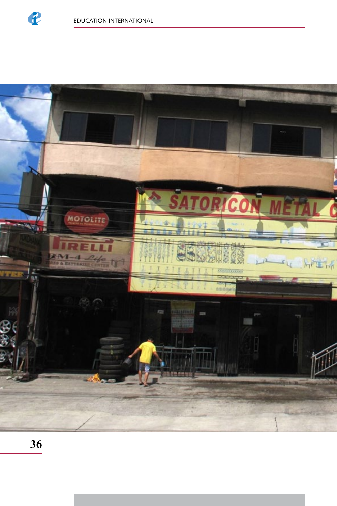

 $\mathbf{P}$ 

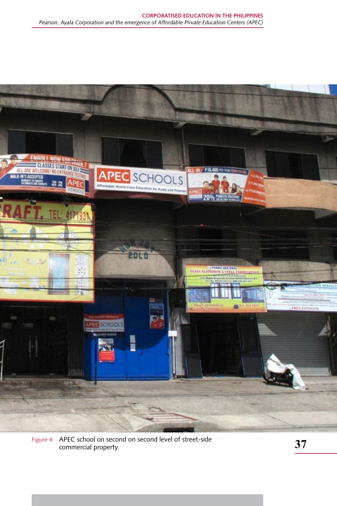

*Figure 4:* APEC school on second on second level of street-side commercial property.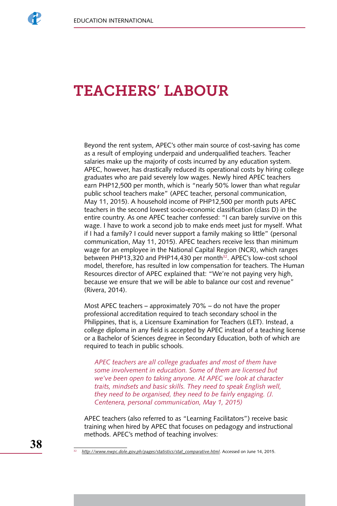7



Beyond the rent system, APEC's other main source of cost-saving has come as a result of employing underpaid and underqualified teachers. Teacher salaries make up the majority of costs incurred by any education system. APEC, however, has drastically reduced its operational costs by hiring college graduates who are paid severely low wages. Newly hired APEC teachers earn PHP12,500 per month, which is "nearly 50% lower than what regular public school teachers make" (APEC teacher, personal communication, May 11, 2015). A household income of PHP12,500 per month puts APEC teachers in the second lowest socio-economic classification (class D) in the entire country. As one APEC teacher confessed: "I can barely survive on this wage. I have to work a second job to make ends meet just for myself. What if I had a family? I could never support a family making so little" (personal communication, May 11, 2015). APEC teachers receive less than minimum wage for an employee in the National Capital Region (NCR), which ranges between PHP13,320 and PHP14,430 per month<sup>32</sup>. APEC's low-cost school model, therefore, has resulted in low compensation for teachers. The Human Resources director of APEC explained that: "We're not paying very high, because we ensure that we will be able to balance our cost and revenue" (Rivera, 2014).

Most APEC teachers – approximately 70% – do not have the proper professional accreditation required to teach secondary school in the Philippines, that is, a Licensure Examination for Teachers (LET). Instead, a college diploma in any field is accepted by APEC instead of a teaching license or a Bachelor of Sciences degree in Secondary Education, both of which are required to teach in public schools.

*APEC teachers are all college graduates and most of them have some involvement in education. Some of them are licensed but we've been open to taking anyone. At APEC we look at character traits, mindsets and basic skills. They need to speak English well, they need to be organised, they need to be fairly engaging. (J. Centenera, personal communication, May 1, 2015)*

APEC teachers (also referred to as "Learning Facilitators") receive basic training when hired by APEC that focuses on pedagogy and instructional methods. APEC's method of teaching involves:

<sup>32</sup> *[http://www.nwpc.dole.gov.ph/pages/statistics/stat\\_comparative.html](http://www.nwpc.dole.gov.ph/pages/statistics/stat_comparative.html)*. Accessed on June 14, 2015.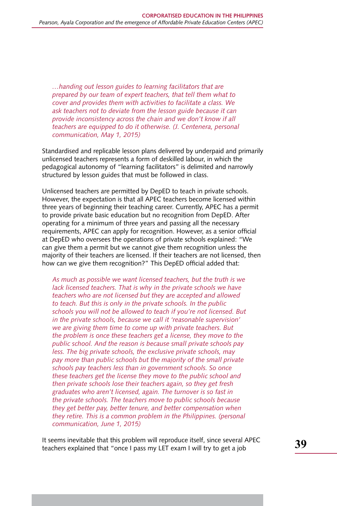*…handing out lesson guides to learning facilitators that are prepared by our team of expert teachers, that tell them what to cover and provides them with activities to facilitate a class. We ask teachers not to deviate from the lesson guide because it can provide inconsistency across the chain and we don't know if all teachers are equipped to do it otherwise. (J. Centenera, personal communication, May 1, 2015)*

Standardised and replicable lesson plans delivered by underpaid and primarily unlicensed teachers represents a form of deskilled labour, in which the pedagogical autonomy of "learning facilitators" is delimited and narrowly structured by lesson guides that must be followed in class.

Unlicensed teachers are permitted by DepED to teach in private schools. However, the expectation is that all APEC teachers become licensed within three years of beginning their teaching career. Currently, APEC has a permit to provide private basic education but no recognition from DepED. After operating for a minimum of three years and passing all the necessary requirements, APEC can apply for recognition. However, as a senior official at DepED who oversees the operations of private schools explained: "We can give them a permit but we cannot give them recognition unless the majority of their teachers are licensed. If their teachers are not licensed, then how can we give them recognition?" This DepED official added that:

*As much as possible we want licensed teachers, but the truth is we lack licensed teachers. That is why in the private schools we have teachers who are not licensed but they are accepted and allowed to teach. But this is only in the private schools. In the public schools you will not be allowed to teach if you're not licensed. But in the private schools, because we call it 'reasonable supervision' we are giving them time to come up with private teachers. But the problem is once these teachers get a license, they move to the public school. And the reason is because small private schools pay less. The big private schools, the exclusive private schools, may pay more than public schools but the majority of the small private schools pay teachers less than in government schools. So once these teachers get the license they move to the public school and then private schools lose their teachers again, so they get fresh graduates who aren't licensed, again. The turnover is so fast in the private schools. The teachers move to public schools because they get better pay, better tenure, and better compensation when they retire. This is a common problem in the Philippines. (personal communication, June 1, 2015)*

It seems inevitable that this problem will reproduce itself, since several APEC teachers explained that "once I pass my LET exam I will try to get a job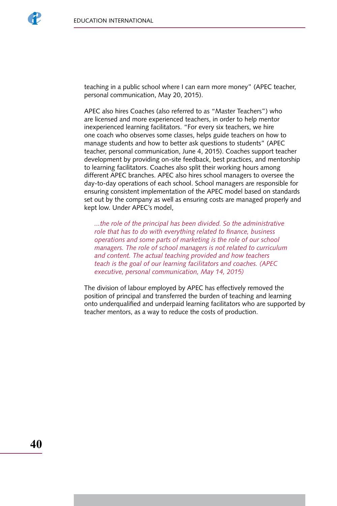

7

teaching in a public school where I can earn more money" (APEC teacher, personal communication, May 20, 2015).

APEC also hires Coaches (also referred to as "Master Teachers") who are licensed and more experienced teachers, in order to help mentor inexperienced learning facilitators. "For every six teachers, we hire one coach who observes some classes, helps guide teachers on how to manage students and how to better ask questions to students" (APEC teacher, personal communication, June 4, 2015). Coaches support teacher development by providing on-site feedback, best practices, and mentorship to learning facilitators. Coaches also split their working hours among different APEC branches. APEC also hires school managers to oversee the day-to-day operations of each school. School managers are responsible for ensuring consistent implementation of the APEC model based on standards set out by the company as well as ensuring costs are managed properly and kept low. Under APEC's model,

*...the role of the principal has been divided. So the administrative role that has to do with everything related to finance, business operations and some parts of marketing is the role of our school managers. The role of school managers is not related to curriculum and content. The actual teaching provided and how teachers teach is the goal of our learning facilitators and coaches. (APEC executive, personal communication, May 14, 2015)*

The division of labour employed by APEC has effectively removed the position of principal and transferred the burden of teaching and learning onto underqualified and underpaid learning facilitators who are supported by teacher mentors, as a way to reduce the costs of production.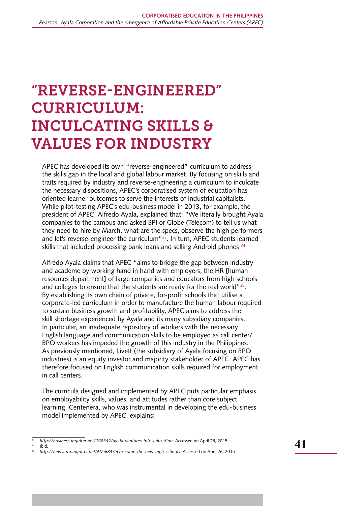### "REVERSE-ENGINEERED" CURRICULUM: INCULCATING SKILLS & VALUES FOR INDUSTRY

APEC has developed its own "reverse-engineered" curriculum to address the skills gap in the local and global labour market. By focusing on skills and traits required by industry and reverse-engineering a curriculum to inculcate the necessary dispositions, APEC's corporatised system of education has oriented learner outcomes to serve the interests of industrial capitalists. While pilot-testing APEC's edu-business model in 2013, for example, the president of APEC, Alfredo Ayala, explained that: "We literally brought Ayala companies to the campus and asked BPI or Globe (Telecom) to tell us what they need to hire by March, what are the specs, observe the high performers and let's reverse-engineer the curriculum"<sup>33</sup>. In turn, APEC students learned skills that included processing bank loans and selling Android phones <sup>34</sup>.

Alfredo Ayala claims that APEC "aims to bridge the gap between industry and academe by working hand in hand with employers, the HR [human resources department] of large companies and educators from high schools and colleges to ensure that the students are ready for the real world"<sup>35</sup>. By establishing its own chain of private, for-profit schools that utilise a corporate-led curriculum in order to manufacture the human labour required to sustain business growth and profitability, APEC aims to address the skill shortage experienced by Ayala and its many subsidiary companies. In particular, an inadequate repository of workers with the necessary English language and communication skills to be employed as call center/ BPO workers has impeded the growth of this industry in the Philippines. As previously mentioned, LiveIt (the subsidiary of Ayala focusing on BPO industries) is an equity investor and majority stakeholder of APEC. APEC has therefore focused on English communication skills required for employment in call centers.

The curricula designed and implemented by APEC puts particular emphasis on employability skills, values, and attitudes rather than core subject learning. Centenera, who was instrumental in developing the edu-business model implemented by APEC, explains:

<sup>33</sup> *<http://business.inquirer.net/168342/ayala-ventures-into-education>*. Accessed on April 25, 2015.

<sup>34</sup> Ibid.

<sup>35</sup> *<http://newsinfo.inquirer.net/605684/here-come-the-new-high-schools>*. Accessed on April 26, 2015.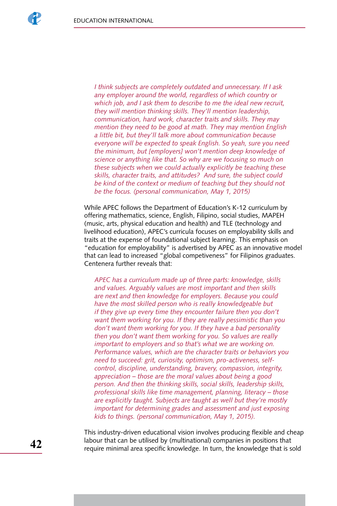*I think subjects are completely outdated and unnecessary. If I ask any employer around the world, regardless of which country or which job, and I ask them to describe to me the ideal new recruit, they will mention thinking skills. They'll mention leadership, communication, hard work, character traits and skills. They may mention they need to be good at math. They may mention English a little bit, but they'll talk more about communication because everyone will be expected to speak English. So yeah, sure you need the minimum, but [employers] won't mention deep knowledge of science or anything like that. So why are we focusing so much on these subjects when we could actually explicitly be teaching these skills, character traits, and attitudes? And sure, the subject could be kind of the context or medium of teaching but they should not be the focus. (personal communication, May 1, 2015)*

While APEC follows the Department of Education's K-12 curriculum by offering mathematics, science, English, Filipino, social studies, MAPEH (music, arts, physical education and health) and TLE (technology and livelihood education), APEC's curricula focuses on employability skills and traits at the expense of foundational subject learning. This emphasis on "education for employability" is advertised by APEC as an innovative model that can lead to increased "global competiveness" for Filipinos graduates. Centenera further reveals that:

*APEC has a curriculum made up of three parts: knowledge, skills and values. Arguably values are most important and then skills are next and then knowledge for employers. Because you could have the most skilled person who is really knowledgeable but if they give up every time they encounter failure then you don't want them working for you. If they are really pessimistic than you don't want them working for you. If they have a bad personality then you don't want them working for you. So values are really important to employers and so that's what we are working on. Performance values, which are the character traits or behaviors you need to succeed: grit, curiosity, optimism, pro-activeness, selfcontrol, discipline, understanding, bravery, compassion, integrity, appreciation – those are the moral values about being a good person. And then the thinking skills, social skills, leadership skills, professional skills like time management, planning, literacy – those are explicitly taught. Subjects are taught as well but they're mostly important for determining grades and assessment and just exposing kids to things. (personal communication, May 1, 2015).* 

This industry-driven educational vision involves producing flexible and cheap labour that can be utilised by (multinational) companies in positions that require minimal area specific knowledge. In turn, the knowledge that is sold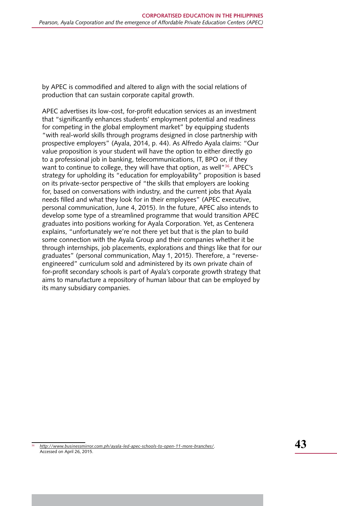by APEC is commodified and altered to align with the social relations of production that can sustain corporate capital growth.

APEC advertises its low-cost, for-profit education services as an investment that "significantly enhances students' employment potential and readiness for competing in the global employment market" by equipping students "with real-world skills through programs designed in close partnership with prospective employers" (Ayala, 2014, p. 44). As Alfredo Ayala claims: "Our value proposition is your student will have the option to either directly go to a professional job in banking, telecommunications, IT, BPO or, if they want to continue to college, they will have that option, as well"<sup>36</sup>. APEC's strategy for upholding its "education for employability" proposition is based on its private-sector perspective of "the skills that employers are looking for, based on conversations with industry, and the current jobs that Ayala needs filled and what they look for in their employees" (APEC executive, personal communication, June 4, 2015). In the future, APEC also intends to develop some type of a streamlined programme that would transition APEC graduates into positions working for Ayala Corporation. Yet, as Centenera explains, "unfortunately we're not there yet but that is the plan to build some connection with the Ayala Group and their companies whether it be through internships, job placements, explorations and things like that for our graduates" (personal communication, May 1, 2015). Therefore, a "reverseengineered" curriculum sold and administered by its own private chain of for-profit secondary schools is part of Ayala's corporate growth strategy that aims to manufacture a repository of human labour that can be employed by its many subsidiary companies.

<sup>36</sup> *<http://www.businessmirror.com.ph/ayala-led-apec-schools-to-open-11-more-branches/>*. Accessed on April 26, 2015.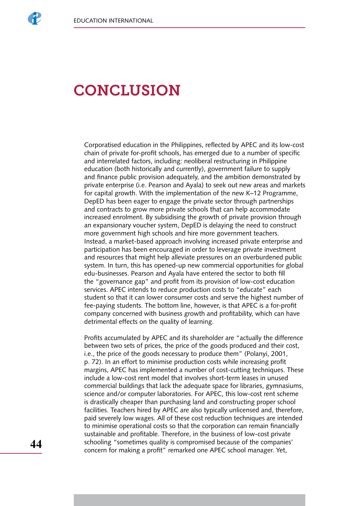7



Corporatised education in the Philippines, reflected by APEC and its low-cost chain of private for-profit schools, has emerged due to a number of specific and interrelated factors, including: neoliberal restructuring in Philippine education (both historically and currently), government failure to supply and finance public provision adequately, and the ambition demonstrated by private enterprise (i.e. Pearson and Ayala) to seek out new areas and markets for capital growth. With the implementation of the new K–12 Programme, DepED has been eager to engage the private sector through partnerships and contracts to grow more private schools that can help accommodate increased enrolment. By subsidising the growth of private provision through an expansionary voucher system, DepED is delaying the need to construct more government high schools and hire more government teachers. Instead, a market-based approach involving increased private enterprise and participation has been encouraged in order to leverage private investment and resources that might help alleviate pressures on an overburdened public system. In turn, this has opened-up new commercial opportunities for global edu-businesses. Pearson and Ayala have entered the sector to both fill the "governance gap" and profit from its provision of low-cost education services. APEC intends to reduce production costs to "educate" each student so that it can lower consumer costs and serve the highest number of fee-paying students. The bottom line, however, is that APEC is a for-profit company concerned with business growth and profitability, which can have detrimental effects on the quality of learning.

Profits accumulated by APEC and its shareholder are "actually the difference between two sets of prices, the price of the goods produced and their cost, i.e., the price of the goods necessary to produce them" (Polanyi, 2001, p. 72). In an effort to minimise production costs while increasing profit margins, APEC has implemented a number of cost-cutting techniques. These include a low-cost rent model that involves short-term leases in unused commercial buildings that lack the adequate space for libraries, gymnasiums, science and/or computer laboratories. For APEC, this low-cost rent scheme is drastically cheaper than purchasing land and constructing proper school facilities. Teachers hired by APEC are also typically unlicensed and, therefore, paid severely low wages. All of these cost reduction techniques are intended to minimise operational costs so that the corporation can remain financially sustainable and profitable. Therefore, in the business of low-cost private schooling "sometimes quality is compromised because of the companies' concern for making a profit" remarked one APEC school manager. Yet,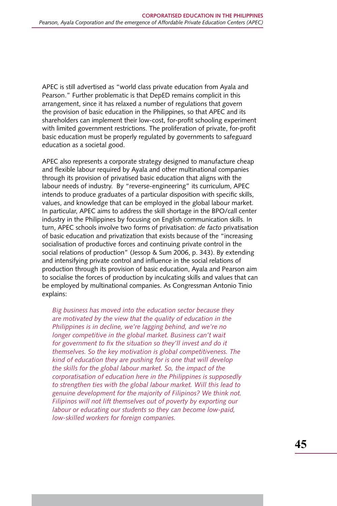APEC is still advertised as "world class private education from Ayala and Pearson." Further problematic is that DepED remains complicit in this arrangement, since it has relaxed a number of regulations that govern the provision of basic education in the Philippines, so that APEC and its shareholders can implement their low-cost, for-profit schooling experiment with limited government restrictions. The proliferation of private, for-profit basic education must be properly regulated by governments to safeguard education as a societal good.

APEC also represents a corporate strategy designed to manufacture cheap and flexible labour required by Ayala and other multinational companies through its provision of privatised basic education that aligns with the labour needs of industry. By "reverse-engineering" its curriculum, APEC intends to produce graduates of a particular disposition with specific skills, values, and knowledge that can be employed in the global labour market. In particular, APEC aims to address the skill shortage in the BPO/call center industry in the Philippines by focusing on English communication skills. In turn, APEC schools involve two forms of privatisation: *de facto* privatisation of basic education and privatization that exists because of the "increasing socialisation of productive forces and continuing private control in the social relations of production" (Jessop & Sum 2006, p. 343). By extending and intensifying private control and influence in the social relations of production through its provision of basic education, Ayala and Pearson aim to socialise the forces of production by inculcating skills and values that can be employed by multinational companies. As Congressman Antonio Tinio explains:

*Big business has moved into the education sector because they are motivated by the view that the quality of education in the Philippines is in decline, we're lagging behind, and we're no longer competitive in the global market. Business can't wait for government to fix the situation so they'll invest and do it themselves. So the key motivation is global competitiveness. The kind of education they are pushing for is one that will develop the skills for the global labour market. So, the impact of the corporatisation of education here in the Philippines is supposedly to strengthen ties with the global labour market. Will this lead to genuine development for the majority of Filipinos? We think not. Filipinos will not lift themselves out of poverty by exporting our labour or educating our students so they can become low-paid, low-skilled workers for foreign companies.*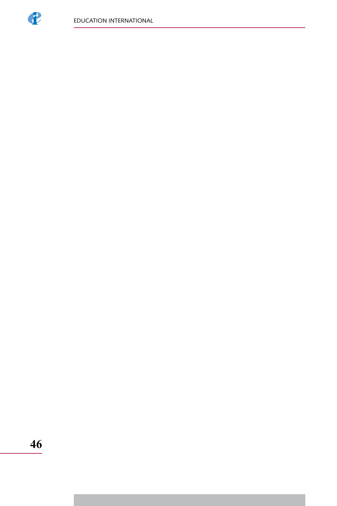

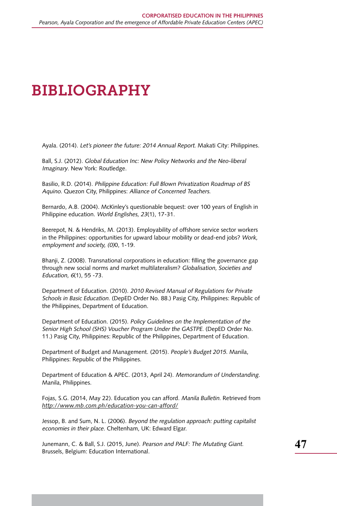### BIBLIOGRAPHY

Ayala. (2014). Let's pioneer the future: 2014 Annual Report. Makati City: Philippines.

Ball, S.J. (2012). Global Education Inc: New Policy Networks and the Neo-liberal Imaginary. New York: Routledge.

Basilio, R.D. (2014). Philippine Education: Full Blown Privatization Roadmap of BS Aquino. Quezon City, Philippines: Alliance of Concerned Teachers.

Bernardo, A.B. (2004). McKinley's questionable bequest: over 100 years of English in Philippine education. World Englishes, 23(1), 17-31.

Beerepot, N. & Hendriks, M. (2013). Employability of offshore service sector workers in the Philippines: opportunities for upward labour mobility or dead-end jobs? Work, employment and society, (0)0, 1-19.

Bhanji, Z. (2008). Transnational corporations in education: filling the governance gap through new social norms and market multilateralism? Globalisation, Societies and Education, 6(1), 55 -73.

Department of Education. (2010). 2010 Revised Manual of Regulations for Private Schools in Basic Education. (DepED Order No. 88.) Pasig City, Philippines: Republic of the Philippines, Department of Education.

Department of Education. (2015). Policy Guidelines on the Implementation of the Senior High School (SHS) Voucher Program Under the GASTPE. (DepED Order No. 11.) Pasig City, Philippines: Republic of the Philippines, Department of Education.

Department of Budget and Management. (2015). People's Budget 2015. Manila, Philippines: Republic of the Philippines.

Department of Education & APEC. (2013, April 24). Memorandum of Understanding. Manila, Philippines.

Fojas, S.G. (2014, May 22). Education you can afford. Manila Bulletin. Retrieved from *<http://www.mb.com.ph/education-you-can-afford/>*

Jessop, B. and Sum, N. L. (2006). Beyond the regulation approach: putting capitalist economies in their place. Cheltenham, UK: Edward Elgar.

Junemann, C. & Ball, S.J. (2015, June). Pearson and PALF: The Mutating Giant. Brussels, Belgium: Education International.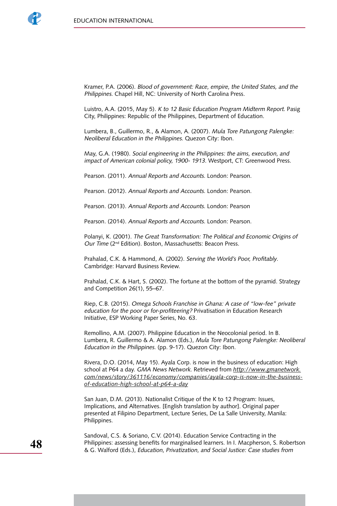

Kramer, P.A. (2006). Blood of government: Race, empire, the United States, and the Philippines. Chapel Hill, NC: University of North Carolina Press.

Luistro, A.A. (2015, May 5). K to 12 Basic Education Program Midterm Report. Pasig City, Philippines: Republic of the Philippines, Department of Education.

Lumbera, B., Guillermo, R., & Alamon, A. (2007). Mula Tore Patungong Palengke: Neoliberal Education in the Philippines. Quezon City: Ibon.

May, G.A. (1980). Social engineering in the Philippines: the aims, execution, and impact of American colonial policy, 1900- 1913. Westport, CT: Greenwood Press.

Pearson. (2011). Annual Reports and Accounts. London: Pearson.

Pearson. (2012). Annual Reports and Accounts. London: Pearson.

Pearson. (2013). Annual Reports and Accounts. London: Pearson

Pearson. (2014). Annual Reports and Accounts. London: Pearson.

Polanyi, K. (2001). The Great Transformation: The Political and Economic Origins of Our Time (2nd Edition). Boston, Massachusetts: Beacon Press.

Prahalad, C.K. & Hammond, A. (2002). Serving the World's Poor, Profitably. Cambridge: Harvard Business Review.

Prahalad, C.K. & Hart, S. (2002). The fortune at the bottom of the pyramid. Strategy and Competition 26(1), 55–67.

Riep, C.B. (2015). Omega Schools Franchise in Ghana: A case of "low-fee" private education for the poor or for-profiteering? Privatisation in Education Research Initiative, ESP Working Paper Series, No. 63.

Remollino, A.M. (2007). Philippine Education in the Neocolonial period. In B. Lumbera, R. Guillermo & A. Alamon (Eds.), Mula Tore Patungong Palengke: Neoliberal Education in the Philippines. (pp. 9-17). Quezon City: Ibon.

Rivera, D.O. (2014, May 15). Ayala Corp. is now in the business of education: High school at P64 a day. GMA News Network. Retrieved from *[http://www.gmanetwork.](http://www.gmanetwork.com/news/story/361116/economy/companies/ayala-corp-is-now-in-the-business-of-education-high-school-at-p64-a-day) [com/news/story/361116/economy/companies/ayala-corp-is-now-in-the-business](http://www.gmanetwork.com/news/story/361116/economy/companies/ayala-corp-is-now-in-the-business-of-education-high-school-at-p64-a-day)[of-education-high-school-at-p64-a-day](http://www.gmanetwork.com/news/story/361116/economy/companies/ayala-corp-is-now-in-the-business-of-education-high-school-at-p64-a-day)*

San Juan, D.M. (2013). Nationalist Critique of the K to 12 Program: Issues, Implications, and Alternatives. [English translation by author]. Original paper presented at Filipino Department, Lecture Series, De La Salle University, Manila: Philippines.

Sandoval, C.S. & Soriano, C.V. (2014). Education Service Contracting in the Philippines: assessing benefits for marginalised learners. In I. Macpherson, S. Robertson & G. Walford (Eds.), Education, Privatization, and Social Justice: Case studies from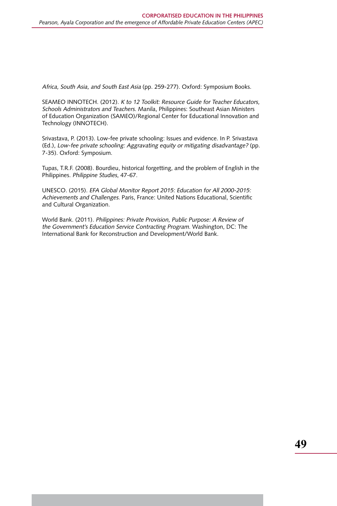Africa, South Asia, and South East Asia (pp. 259-277). Oxford: Symposium Books.

SEAMEO INNOTECH. (2012). K to 12 Toolkit: Resource Guide for Teacher Educators, Schools Administrators and Teachers. Manila, Philippines: Southeast Asian Ministers of Education Organization (SAMEO)/Regional Center for Educational Innovation and Technology (INNOTECH).

Srivastava, P. (2013). Low-fee private schooling: Issues and evidence. In P. Srivastava (Ed.), Low-fee private schooling: Aggravating equity or mitigating disadvantage? (pp. 7-35). Oxford: Symposium.

Tupas, T.R.F. (2008). Bourdieu, historical forgetting, and the problem of English in the Philippines. Philippine Studies, 47-67.

UNESCO. (2015). EFA Global Monitor Report 2015: Education for All 2000-2015: Achievements and Challenges. Paris, France: United Nations Educational, Scientific and Cultural Organization.

World Bank. (2011). Philippines: Private Provision, Public Purpose: A Review of the Government's Education Service Contracting Program. Washington, DC: The International Bank for Reconstruction and Development/World Bank.